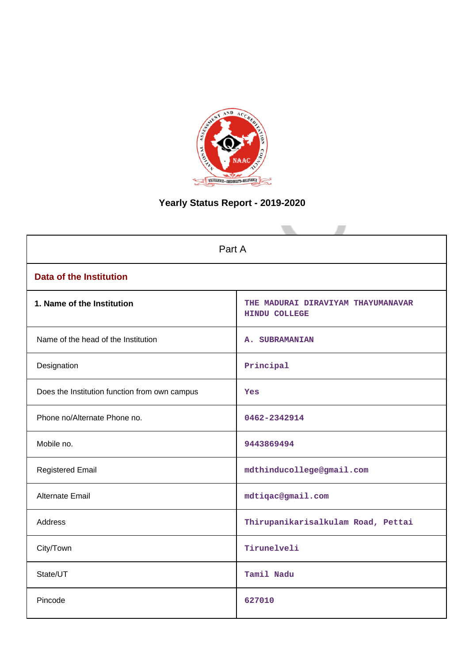

# **Yearly Status Report - 2019-2020**

| Part A                                        |                                                     |  |  |  |
|-----------------------------------------------|-----------------------------------------------------|--|--|--|
| <b>Data of the Institution</b>                |                                                     |  |  |  |
| 1. Name of the Institution                    | THE MADURAI DIRAVIYAM THAYUMANAVAR<br>HINDU COLLEGE |  |  |  |
| Name of the head of the Institution           | A. SUBRAMANIAN                                      |  |  |  |
| Designation                                   | Principal                                           |  |  |  |
| Does the Institution function from own campus | Yes                                                 |  |  |  |
| Phone no/Alternate Phone no.                  | 0462-2342914                                        |  |  |  |
| Mobile no.                                    | 9443869494                                          |  |  |  |
| <b>Registered Email</b>                       | mdthinducollege@gmail.com                           |  |  |  |
| <b>Alternate Email</b>                        | mdtiqac@gmail.com                                   |  |  |  |
| <b>Address</b>                                | Thirupanikarisalkulam Road, Pettai                  |  |  |  |
| City/Town                                     | Tirunelveli                                         |  |  |  |
| State/UT                                      | Tamil Nadu                                          |  |  |  |
| Pincode                                       | 627010                                              |  |  |  |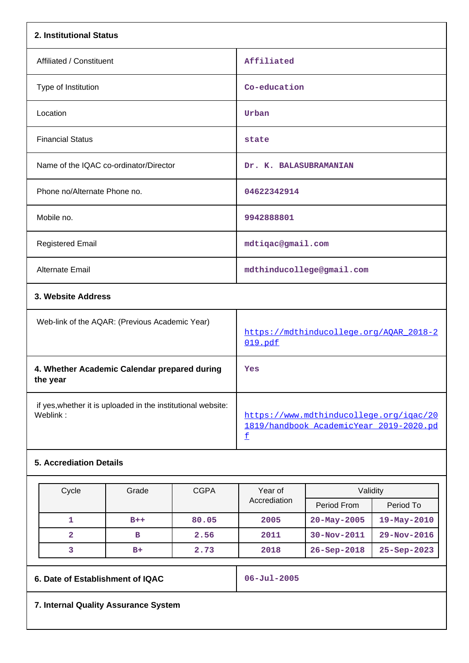| 2. Institutional Status                                                  |                                                                                                                |
|--------------------------------------------------------------------------|----------------------------------------------------------------------------------------------------------------|
| Affiliated / Constituent                                                 | Affiliated                                                                                                     |
| Type of Institution                                                      | Co-education                                                                                                   |
| Location                                                                 | Urban                                                                                                          |
| <b>Financial Status</b>                                                  | state                                                                                                          |
| Name of the IQAC co-ordinator/Director                                   | Dr. K. BALASUBRAMANIAN                                                                                         |
| Phone no/Alternate Phone no.                                             | 04622342914                                                                                                    |
| Mobile no.                                                               | 9942888801                                                                                                     |
| <b>Registered Email</b>                                                  | mdtiqac@gmail.com                                                                                              |
| <b>Alternate Email</b>                                                   | mdthinducollege@gmail.com                                                                                      |
| 3. Website Address                                                       |                                                                                                                |
| Web-link of the AQAR: (Previous Academic Year)                           | https://mdthinducollege.org/AQAR_2018-2<br>019.pdf                                                             |
| 4. Whether Academic Calendar prepared during<br>the year                 | Yes                                                                                                            |
| if yes, whether it is uploaded in the institutional website:<br>Weblink: | https://www.mdthinducollege.org/igac/20<br>1819/handbook AcademicYear 2019-2020.pd<br>$\underline{\mathtt{f}}$ |
| <b>5. Accrediation Details</b>                                           |                                                                                                                |

| Cycle                            | Grade | <b>CGPA</b> | Year of<br>Accrediation  | Validity          |                   |
|----------------------------------|-------|-------------|--------------------------|-------------------|-------------------|
|                                  |       |             |                          | Period From       | Period To         |
|                                  | $B++$ | 80.05       | 2005                     | $20 - May - 2005$ | $19 - May - 2010$ |
| 2                                | в     | 2.56        | 2011                     | $30 - Nov - 2011$ | 29-Nov-2016       |
| 3                                | $B+$  | 2.73        | 2018                     | $26 - Sep - 2018$ | $25 - Sep - 2023$ |
|                                  |       |             |                          |                   |                   |
| 6. Date of Establishment of IQAC |       |             | $06 - \text{Jul} - 2005$ |                   |                   |

**7. Internal Quality Assurance System**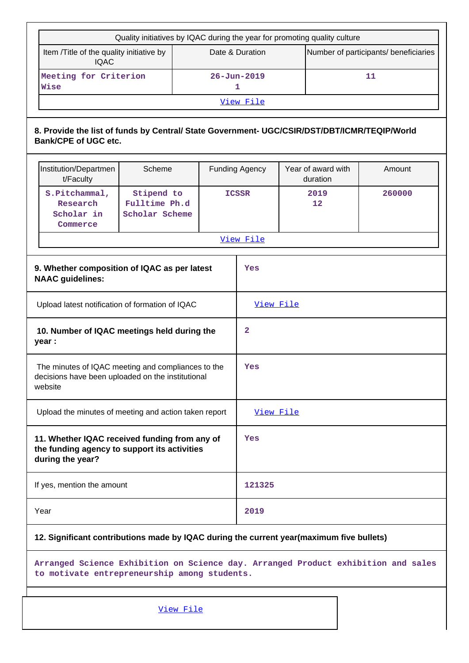|                                                                                                                    | Quality initiatives by IQAC during the year for promoting quality culture                                                         |                                               |           |        |                        |                                       |                                |        |
|--------------------------------------------------------------------------------------------------------------------|-----------------------------------------------------------------------------------------------------------------------------------|-----------------------------------------------|-----------|--------|------------------------|---------------------------------------|--------------------------------|--------|
|                                                                                                                    | Item /Title of the quality initiative by<br>Date & Duration<br><b>IQAC</b>                                                        |                                               |           |        |                        | Number of participants/ beneficiaries |                                |        |
|                                                                                                                    | Meeting for Criterion<br>Wise                                                                                                     |                                               |           |        | $26 - Jun - 2019$<br>1 |                                       |                                | 11     |
|                                                                                                                    |                                                                                                                                   |                                               |           |        | View File              |                                       |                                |        |
|                                                                                                                    | 8. Provide the list of funds by Central/ State Government- UGC/CSIR/DST/DBT/ICMR/TEQIP/World<br><b>Bank/CPE of UGC etc.</b>       |                                               |           |        |                        |                                       |                                |        |
|                                                                                                                    | Institution/Departmen<br>t/Faculty                                                                                                | Scheme                                        |           |        | <b>Funding Agency</b>  |                                       | Year of award with<br>duration | Amount |
|                                                                                                                    | S.Pitchammal,<br>Research<br>Scholar in<br>Commerce                                                                               | Stipend to<br>Fulltime Ph.d<br>Scholar Scheme | ICSSR     |        |                        | 2019<br>12                            | 260000                         |        |
|                                                                                                                    |                                                                                                                                   |                                               |           |        | View File              |                                       |                                |        |
|                                                                                                                    | 9. Whether composition of IQAC as per latest<br><b>NAAC</b> guidelines:                                                           |                                               |           |        | Yes                    |                                       |                                |        |
|                                                                                                                    | Upload latest notification of formation of IQAC                                                                                   |                                               |           |        | View File              |                                       |                                |        |
|                                                                                                                    | 10. Number of IQAC meetings held during the<br>year :                                                                             |                                               |           | 2      |                        |                                       |                                |        |
| The minutes of IQAC meeting and compliances to the<br>decisions have been uploaded on the institutional<br>website |                                                                                                                                   |                                               | Yes       |        |                        |                                       |                                |        |
|                                                                                                                    | Upload the minutes of meeting and action taken report                                                                             |                                               |           |        | View File              |                                       |                                |        |
|                                                                                                                    | 11. Whether IQAC received funding from any of<br>the funding agency to support its activities<br>during the year?                 |                                               |           | Yes    |                        |                                       |                                |        |
|                                                                                                                    | If yes, mention the amount                                                                                                        |                                               |           | 121325 |                        |                                       |                                |        |
|                                                                                                                    | Year                                                                                                                              |                                               |           | 2019   |                        |                                       |                                |        |
|                                                                                                                    | 12. Significant contributions made by IQAC during the current year(maximum five bullets)                                          |                                               |           |        |                        |                                       |                                |        |
|                                                                                                                    | Arranged Science Exhibition on Science day. Arranged Product exhibition and sales<br>to motivate entrepreneurship among students. |                                               |           |        |                        |                                       |                                |        |
|                                                                                                                    |                                                                                                                                   |                                               | View File |        |                        |                                       |                                |        |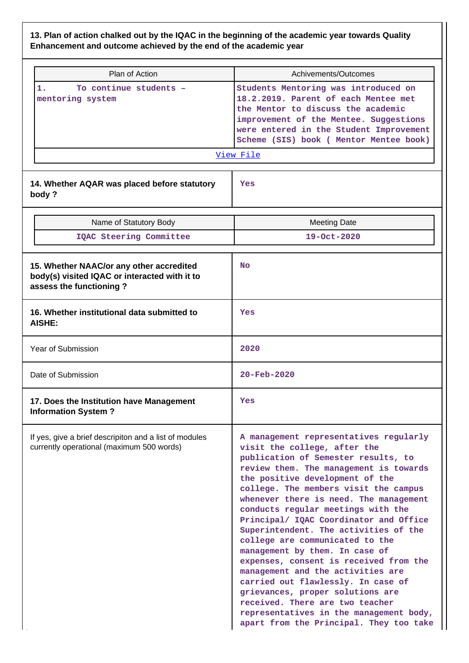# **13. Plan of action chalked out by the IQAC in the beginning of the academic year towards Quality Enhancement and outcome achieved by the end of the academic year**

| Plan of Action                                                                                                       | Achivements/Outcomes                                                                                                                                                                                                                                                                                                                                                                                                                                                                                                                                                                                                                                                                                                                                          |
|----------------------------------------------------------------------------------------------------------------------|---------------------------------------------------------------------------------------------------------------------------------------------------------------------------------------------------------------------------------------------------------------------------------------------------------------------------------------------------------------------------------------------------------------------------------------------------------------------------------------------------------------------------------------------------------------------------------------------------------------------------------------------------------------------------------------------------------------------------------------------------------------|
| 1.<br>To continue students -<br>mentoring system                                                                     | Students Mentoring was introduced on<br>18.2.2019. Parent of each Mentee met<br>the Mentor to discuss the academic<br>improvement of the Mentee. Suggestions<br>were entered in the Student Improvement<br>Scheme (SIS) book ( Mentor Mentee book)<br>View File                                                                                                                                                                                                                                                                                                                                                                                                                                                                                               |
| 14. Whether AQAR was placed before statutory<br>body?                                                                | Yes                                                                                                                                                                                                                                                                                                                                                                                                                                                                                                                                                                                                                                                                                                                                                           |
| Name of Statutory Body                                                                                               | <b>Meeting Date</b>                                                                                                                                                                                                                                                                                                                                                                                                                                                                                                                                                                                                                                                                                                                                           |
| IQAC Steering Committee                                                                                              | 19-Oct-2020                                                                                                                                                                                                                                                                                                                                                                                                                                                                                                                                                                                                                                                                                                                                                   |
| 15. Whether NAAC/or any other accredited<br>body(s) visited IQAC or interacted with it to<br>assess the functioning? | <b>No</b>                                                                                                                                                                                                                                                                                                                                                                                                                                                                                                                                                                                                                                                                                                                                                     |
| 16. Whether institutional data submitted to<br><b>AISHE:</b>                                                         | Yes                                                                                                                                                                                                                                                                                                                                                                                                                                                                                                                                                                                                                                                                                                                                                           |
| Year of Submission                                                                                                   | 2020                                                                                                                                                                                                                                                                                                                                                                                                                                                                                                                                                                                                                                                                                                                                                          |
| Date of Submission                                                                                                   | $20 - \text{Feb} - 2020$                                                                                                                                                                                                                                                                                                                                                                                                                                                                                                                                                                                                                                                                                                                                      |
| 17. Does the Institution have Management<br><b>Information System?</b>                                               | Yes                                                                                                                                                                                                                                                                                                                                                                                                                                                                                                                                                                                                                                                                                                                                                           |
| If yes, give a brief descripiton and a list of modules<br>currently operational (maximum 500 words)                  | A management representatives regularly<br>visit the college, after the<br>publication of Semester results, to<br>review them. The management is towards<br>the positive development of the<br>college. The members visit the campus<br>whenever there is need. The management<br>conducts regular meetings with the<br>Principal/ IQAC Coordinator and Office<br>Superintendent. The activities of the<br>college are communicated to the<br>management by them. In case of<br>expenses, consent is received from the<br>management and the activities are<br>carried out flawlessly. In case of<br>grievances, proper solutions are<br>received. There are two teacher<br>representatives in the management body,<br>apart from the Principal. They too take |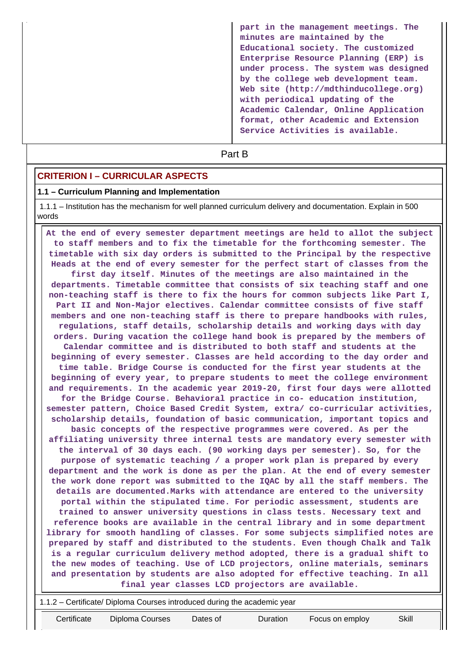**part in the management meetings. The minutes are maintained by the Educational society. The customized Enterprise Resource Planning (ERP) is under process. The system was designed by the college web development team. Web site (http://mdthinducollege.org) with periodical updating of the Academic Calendar, Online Application format, other Academic and Extension Service Activities is available.**

# **Part B**

#### **CRITERION I – CURRICULAR ASPECTS**

#### **1.1 – Curriculum Planning and Implementation**

 1.1.1 – Institution has the mechanism for well planned curriculum delivery and documentation. Explain in 500 words

 **At the end of every semester department meetings are held to allot the subject to staff members and to fix the timetable for the forthcoming semester. The timetable with six day orders is submitted to the Principal by the respective Heads at the end of every semester for the perfect start of classes from the first day itself. Minutes of the meetings are also maintained in the departments. Timetable committee that consists of six teaching staff and one non-teaching staff is there to fix the hours for common subjects like Part I, Part II and Non-Major electives. Calendar committee consists of five staff members and one non-teaching staff is there to prepare handbooks with rules, regulations, staff details, scholarship details and working days with day orders. During vacation the college hand book is prepared by the members of Calendar committee and is distributed to both staff and students at the beginning of every semester. Classes are held according to the day order and time table. Bridge Course is conducted for the first year students at the beginning of every year, to prepare students to meet the college environment and requirements. In the academic year 2019-20, first four days were allotted for the Bridge Course. Behavioral practice in co- education institution, semester pattern, Choice Based Credit System, extra/ co-curricular activities, scholarship details, foundation of basic communication, important topics and basic concepts of the respective programmes were covered. As per the affiliating university three internal tests are mandatory every semester with the interval of 30 days each. (90 working days per semester). So, for the purpose of systematic teaching / a proper work plan is prepared by every department and the work is done as per the plan. At the end of every semester the work done report was submitted to the IQAC by all the staff members. The details are documented.Marks with attendance are entered to the university portal within the stipulated time. For periodic assessment, students are trained to answer university questions in class tests. Necessary text and reference books are available in the central library and in some department library for smooth handling of classes. For some subjects simplified notes are prepared by staff and distributed to the students. Even though Chalk and Talk is a regular curriculum delivery method adopted, there is a gradual shift to the new modes of teaching. Use of LCD projectors, online materials, seminars and presentation by students are also adopted for effective teaching. In all final year classes LCD projectors are available.**

1.1.2 – Certificate/ Diploma Courses introduced during the academic year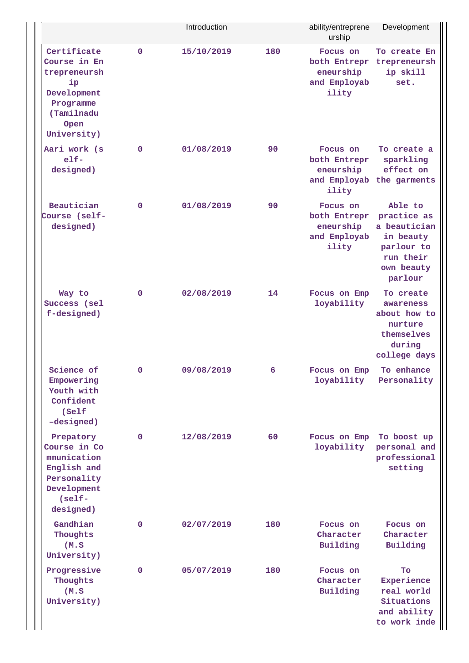|                                                                                                                    |              | Introduction |     | ability/entreprene<br>urship                                   | Development                                                                                             |
|--------------------------------------------------------------------------------------------------------------------|--------------|--------------|-----|----------------------------------------------------------------|---------------------------------------------------------------------------------------------------------|
| Certificate<br>Course in En<br>trepreneursh<br>ip<br>Development<br>Programme<br>(Tamilnadu<br>Open<br>University) | $\mathbf 0$  | 15/10/2019   | 180 | Focus on<br>eneurship<br>and Employab<br>ility                 | To create En<br>both Entrepr trepreneursh<br>ip skill<br>set.                                           |
| Aari work (s<br>$e$ lf-<br>designed)                                                                               | 0            | 01/08/2019   | 90  | Focus on<br>both Entrepr<br>eneurship<br>ility                 | To create a<br>sparkling<br>effect on<br>and Employab the garments                                      |
| Beautician<br>Course (self-<br>designed)                                                                           | $\mathbf 0$  | 01/08/2019   | 90  | Focus on<br>both Entrepr<br>eneurship<br>and Employab<br>ility | Able to<br>practice as<br>a beautician<br>in beauty<br>parlour to<br>run their<br>own beauty<br>parlour |
| Way to<br>Success (sel<br>f-designed)                                                                              | 0            | 02/08/2019   | 14  | Focus on Emp<br>loyability                                     | To create<br>awareness<br>about how to<br>nurture<br>themselves<br>during<br>college days               |
| Science of<br>Empowering<br>Youth with<br>Confident<br>(Self<br>-designed)                                         | 0            | 09/08/2019   | 6   | Focus on Emp<br>loyability                                     | To enhance<br>Personality                                                                               |
| Prepatory<br>Course in Co<br>mmunication<br>English and<br>Personality<br>Development<br>$(self -$<br>designed)    | 0            | 12/08/2019   | 60  | Focus on Emp<br>loyability                                     | To boost up<br>personal and<br>professional<br>setting                                                  |
| Gandhian<br>Thoughts<br>(M.S)<br>University)                                                                       | $\mathbf{0}$ | 02/07/2019   | 180 | Focus on<br>Character<br>Building                              | Focus on<br>Character<br>Building                                                                       |
| Progressive<br>Thoughts<br>(M.S)<br>University)                                                                    | $\mathbf{0}$ | 05/07/2019   | 180 | Focus on<br>Character<br>Building                              | To<br>Experience<br>real world<br>Situations<br>and ability<br>to work inde                             |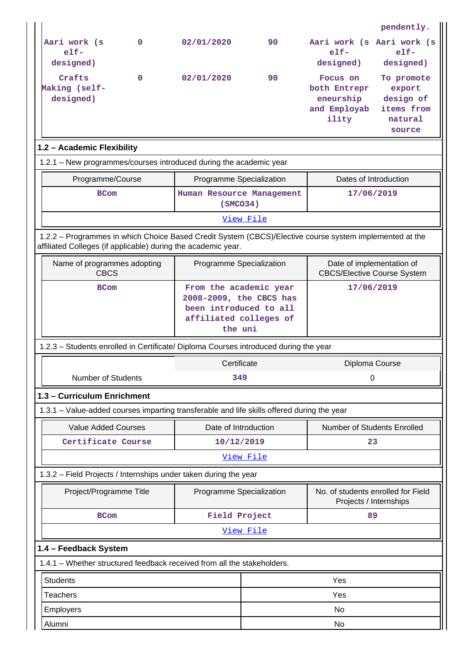|                                                                                                                                                                          |              |                                                                                                                  |    |                                                                 | pendently.                                                           |  |
|--------------------------------------------------------------------------------------------------------------------------------------------------------------------------|--------------|------------------------------------------------------------------------------------------------------------------|----|-----------------------------------------------------------------|----------------------------------------------------------------------|--|
| Aari work (s<br>$e$ lf-<br>designed)                                                                                                                                     | $\mathbf{0}$ | 02/01/2020                                                                                                       | 90 | Aari work (s Aari work (s<br>$e1f-$<br>designed)                | $e1f-$<br>designed)                                                  |  |
| Crafts<br>Making (self-<br>designed)                                                                                                                                     | $\mathbf 0$  | 02/01/2020                                                                                                       | 90 | Focus on<br>both Entrepr<br>eneurship<br>and Employab<br>ility  | To promote<br>export<br>design of<br>items from<br>natural<br>source |  |
| 1.2 - Academic Flexibility                                                                                                                                               |              |                                                                                                                  |    |                                                                 |                                                                      |  |
| 1.2.1 - New programmes/courses introduced during the academic year                                                                                                       |              |                                                                                                                  |    |                                                                 |                                                                      |  |
| Programme/Course                                                                                                                                                         |              | Programme Specialization                                                                                         |    | Dates of Introduction                                           |                                                                      |  |
| <b>BCom</b>                                                                                                                                                              |              | Human Resource Management<br>(SMCO34)                                                                            |    | 17/06/2019                                                      |                                                                      |  |
|                                                                                                                                                                          |              | View File                                                                                                        |    |                                                                 |                                                                      |  |
| 1.2.2 - Programmes in which Choice Based Credit System (CBCS)/Elective course system implemented at the<br>affiliated Colleges (if applicable) during the academic year. |              |                                                                                                                  |    |                                                                 |                                                                      |  |
| Name of programmes adopting<br><b>CBCS</b>                                                                                                                               |              | Programme Specialization                                                                                         |    | Date of implementation of<br><b>CBCS/Elective Course System</b> |                                                                      |  |
| <b>BCom</b>                                                                                                                                                              |              | From the academic year<br>2008-2009, the CBCS has<br>been introduced to all<br>affiliated colleges of<br>the uni |    | 17/06/2019                                                      |                                                                      |  |
| 1.2.3 - Students enrolled in Certificate/ Diploma Courses introduced during the year                                                                                     |              |                                                                                                                  |    |                                                                 |                                                                      |  |
| <b>Number of Students</b>                                                                                                                                                |              | Certificate<br>349                                                                                               |    | Diploma Course<br>0                                             |                                                                      |  |
| 1.3 - Curriculum Enrichment                                                                                                                                              |              |                                                                                                                  |    |                                                                 |                                                                      |  |
| 1.3.1 - Value-added courses imparting transferable and life skills offered during the year                                                                               |              |                                                                                                                  |    |                                                                 |                                                                      |  |
| <b>Value Added Courses</b>                                                                                                                                               |              | Date of Introduction                                                                                             |    | Number of Students Enrolled                                     |                                                                      |  |
| Certificate Course                                                                                                                                                       |              | 10/12/2019                                                                                                       |    | 23                                                              |                                                                      |  |
|                                                                                                                                                                          |              | View File                                                                                                        |    |                                                                 |                                                                      |  |
| 1.3.2 - Field Projects / Internships under taken during the year                                                                                                         |              |                                                                                                                  |    |                                                                 |                                                                      |  |
| Project/Programme Title                                                                                                                                                  |              | Programme Specialization                                                                                         |    | No. of students enrolled for Field<br>Projects / Internships    |                                                                      |  |
| <b>BCom</b>                                                                                                                                                              |              | Field Project                                                                                                    |    | 89                                                              |                                                                      |  |
|                                                                                                                                                                          |              | View File                                                                                                        |    |                                                                 |                                                                      |  |
| 1.4 - Feedback System                                                                                                                                                    |              |                                                                                                                  |    |                                                                 |                                                                      |  |
| 1.4.1 - Whether structured feedback received from all the stakeholders.                                                                                                  |              |                                                                                                                  |    |                                                                 |                                                                      |  |
| <b>Students</b>                                                                                                                                                          | Yes          |                                                                                                                  |    |                                                                 |                                                                      |  |
| <b>Teachers</b>                                                                                                                                                          |              |                                                                                                                  |    | Yes                                                             |                                                                      |  |
| Employers                                                                                                                                                                |              |                                                                                                                  |    |                                                                 |                                                                      |  |
|                                                                                                                                                                          |              |                                                                                                                  |    | No                                                              |                                                                      |  |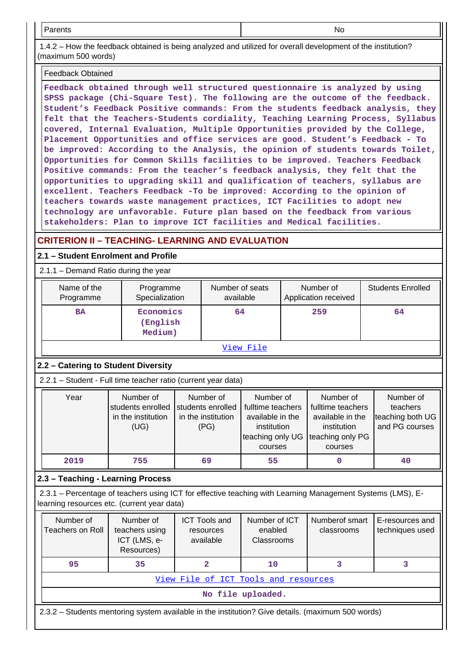Parents No

 1.4.2 – How the feedback obtained is being analyzed and utilized for overall development of the institution? (maximum 500 words)

#### Feedback Obtained

**Feedback obtained through well structured questionnaire is analyzed by using SPSS package (Chi-Square Test). The following are the outcome of the feedback. Student's Feedback Positive commands: From the students feedback analysis, they felt that the Teachers-Students cordiality, Teaching Learning Process, Syllabus covered, Internal Evaluation, Multiple Opportunities provided by the College, Placement Opportunities and office services are good. Student's Feedback - To be improved: According to the Analysis, the opinion of students towards Toilet, Opportunities for Common Skills facilities to be improved. Teachers Feedback Positive commands: From the teacher's feedback analysis, they felt that the opportunities to upgrading skill and qualification of teachers, syllabus are excellent. Teachers Feedback -To be improved: According to the opinion of teachers towards waste management practices, ICT Facilities to adopt new technology are unfavorable. Future plan based on the feedback from various stakeholders: Plan to improve ICT facilities and Medical facilities.**

# **CRITERION II – TEACHING- LEARNING AND EVALUATION**

## **2.1 – Student Enrolment and Profile**

## 2.1.1 – Demand Ratio during the year

| Name of the<br>Programme | Programme<br>Specialization      | Number of seats<br>available | Number of<br>Application received | <b>Students Enrolled</b> |  |  |
|--------------------------|----------------------------------|------------------------------|-----------------------------------|--------------------------|--|--|
| <b>BA</b>                | Economics<br>(English<br>Medium) | 64                           | 259                               | 64                       |  |  |
| View File                |                                  |                              |                                   |                          |  |  |

# **2.2 – Catering to Student Diversity**

2.2.1 – Student - Full time teacher ratio (current year data)

| Year | Number of          | Number of          | Number of         | Number of         | Number of        |
|------|--------------------|--------------------|-------------------|-------------------|------------------|
|      | students enrolled  | students enrolled  | fulltime teachers | fulltime teachers | teachers         |
|      | in the institution | in the institution | available in the  | available in the  | teaching both UG |
|      | (UG)               | (PG)               | institution       | institution       | and PG courses   |
|      |                    |                    | teaching only UG  | teaching only PG  |                  |
|      |                    |                    | courses           | courses           |                  |
| 2019 | 755                | 69                 | 55                |                   | 40               |

# **2.3 – Teaching - Learning Process**

 2.3.1 – Percentage of teachers using ICT for effective teaching with Learning Management Systems (LMS), Elearning resources etc. (current year data)

| Number of<br>Teachers on Roll                                                                     | Number of<br>teachers using<br>ICT (LMS, e-<br>Resources) | <b>ICT Tools and</b><br>resources<br>available | Number of ICT<br>enabled<br><b>Classrooms</b> | Numberof smart<br>classrooms | E-resources and<br>techniques used |  |  |  |
|---------------------------------------------------------------------------------------------------|-----------------------------------------------------------|------------------------------------------------|-----------------------------------------------|------------------------------|------------------------------------|--|--|--|
| 95                                                                                                | 35                                                        |                                                | 10                                            |                              |                                    |  |  |  |
|                                                                                                   | View File of ICT Tools and resources                      |                                                |                                               |                              |                                    |  |  |  |
| No file uploaded.                                                                                 |                                                           |                                                |                                               |                              |                                    |  |  |  |
| 2.3.2 – Students mentoring system available in the institution? Give details. (maximum 500 words) |                                                           |                                                |                                               |                              |                                    |  |  |  |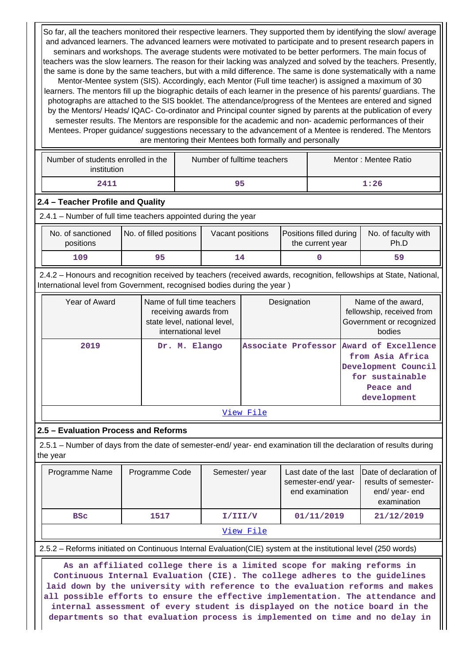So far, all the teachers monitored their respective learners. They supported them by identifying the slow/ average and advanced learners. The advanced learners were motivated to participate and to present research papers in seminars and workshops. The average students were motivated to be better performers. The main focus of teachers was the slow learners. The reason for their lacking was analyzed and solved by the teachers. Presently, the same is done by the same teachers, but with a mild difference. The same is done systematically with a name Mentor-Mentee system (SIS). Accordingly, each Mentor (Full time teacher) is assigned a maximum of 30 learners. The mentors fill up the biographic details of each learner in the presence of his parents/ guardians. The photographs are attached to the SIS booklet. The attendance/progress of the Mentees are entered and signed by the Mentors/ Heads/ IQAC- Co-ordinator and Principal counter signed by parents at the publication of every semester results. The Mentors are responsible for the academic and non- academic performances of their Mentees. Proper guidance/ suggestions necessary to the advancement of a Mentee is rendered. The Mentors are mentoring their Mentees both formally and personally

| Number of students enrolled in the<br>institution | Number of fulltime teachers | Mentor: Mentee Ratio |
|---------------------------------------------------|-----------------------------|----------------------|
| 2411                                              | 95                          | 1:26                 |

#### **2.4 – Teacher Profile and Quality**

2.4.1 – Number of full time teachers appointed during the year

| No. of sanctioned<br>positions | No. of filled positions | Vacant positions | Positions filled during<br>the current year | No. of faculty with<br>Ph.D |
|--------------------------------|-------------------------|------------------|---------------------------------------------|-----------------------------|
| 109                            | 95                      |                  |                                             | 59                          |

 2.4.2 – Honours and recognition received by teachers (received awards, recognition, fellowships at State, National, International level from Government, recognised bodies during the year )

| Year of Award | Name of full time teachers<br>receiving awards from<br>state level, national level,<br>international level | Designation                             | Name of the award,<br>fellowship, received from<br>Government or recognized<br>bodies  |
|---------------|------------------------------------------------------------------------------------------------------------|-----------------------------------------|----------------------------------------------------------------------------------------|
| 2019          | Dr. M. Elango                                                                                              | Associate Professor Award of Excellence | from Asia Africa<br>Development Council<br>for sustainable<br>Peace and<br>development |

[View File](https://assessmentonline.naac.gov.in/public/Postacc/Honours_recieved/6849_Honours_recieved_1602572416.xlsx)

#### **2.5 – Evaluation Process and Reforms**

 2.5.1 – Number of days from the date of semester-end/ year- end examination till the declaration of results during the year

| Programme Name | Programme Code | Semester/year | Last date of the last<br>semester-end/year-<br>end examination | Date of declaration of<br>results of semester-<br>end/year-end<br>examination |
|----------------|----------------|---------------|----------------------------------------------------------------|-------------------------------------------------------------------------------|
| <b>BSC</b>     | 1517           | I/III/V       | 01/11/2019                                                     | 21/12/2019                                                                    |
|                |                | View File     |                                                                |                                                                               |

2.5.2 – Reforms initiated on Continuous Internal Evaluation(CIE) system at the institutional level (250 words)

 **As an affiliated college there is a limited scope for making reforms in Continuous Internal Evaluation (CIE). The college adheres to the guidelines laid down by the university with reference to the evaluation reforms and makes all possible efforts to ensure the effective implementation. The attendance and internal assessment of every student is displayed on the notice board in the departments so that evaluation process is implemented on time and no delay in**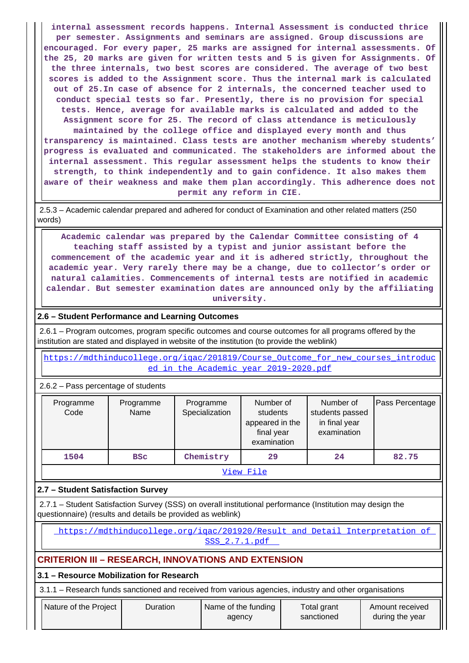**internal assessment records happens. Internal Assessment is conducted thrice per semester. Assignments and seminars are assigned. Group discussions are encouraged. For every paper, 25 marks are assigned for internal assessments. Of the 25, 20 marks are given for written tests and 5 is given for Assignments. Of the three internals, two best scores are considered. The average of two best scores is added to the Assignment score. Thus the internal mark is calculated out of 25.In case of absence for 2 internals, the concerned teacher used to conduct special tests so far. Presently, there is no provision for special tests. Hence, average for available marks is calculated and added to the Assignment score for 25. The record of class attendance is meticulously maintained by the college office and displayed every month and thus transparency is maintained. Class tests are another mechanism whereby students' progress is evaluated and communicated. The stakeholders are informed about the internal assessment. This regular assessment helps the students to know their strength, to think independently and to gain confidence. It also makes them aware of their weakness and make them plan accordingly. This adherence does not permit any reform in CIE.**

 2.5.3 – Academic calendar prepared and adhered for conduct of Examination and other related matters (250 words)

 **Academic calendar was prepared by the Calendar Committee consisting of 4 teaching staff assisted by a typist and junior assistant before the commencement of the academic year and it is adhered strictly, throughout the academic year. Very rarely there may be a change, due to collector's order or natural calamities. Commencements of internal tests are notified in academic calendar. But semester examination dates are announced only by the affiliating university.**

## **2.6 – Student Performance and Learning Outcomes**

 2.6.1 – Program outcomes, program specific outcomes and course outcomes for all programs offered by the institution are stated and displayed in website of the institution (to provide the weblink)

 [https://mdthinducollege.org/iqac/201819/Course\\_Outcome\\_for\\_new\\_courses\\_introduc](https://mdthinducollege.org/iqac/201819/Course_Outcome_for_new_courses_introduced_in_the_Academic_year_2019-2020.pdf) ed in the Academic year 2019-2020.pdf

2.6.2 – Pass percentage of students

| Programme<br>Code | Programme<br>Name | Programme<br>Specialization | Number of<br>students<br>appeared in the<br>final year<br>examination | Number of<br>students passed<br>in final year<br>examination | Pass Percentage |  |  |  |
|-------------------|-------------------|-----------------------------|-----------------------------------------------------------------------|--------------------------------------------------------------|-----------------|--|--|--|
| 1504              | <b>BSC</b>        | Chemistry                   | 29                                                                    | 24                                                           | 82.75           |  |  |  |
| View File         |                   |                             |                                                                       |                                                              |                 |  |  |  |

# **2.7 – Student Satisfaction Survey**

 2.7.1 – Student Satisfaction Survey (SSS) on overall institutional performance (Institution may design the questionnaire) (results and details be provided as weblink)

https://mdthinducollege.org/igac/201920/Result\_and\_Detail\_Interpretation\_of [SSS\\_2.7.1.pdf](https://mdthinducollege.org/iqac/201920/Result_and_Detail_Interpretation_of_SSS_2.7.1.pdf) 

# **CRITERION III – RESEARCH, INNOVATIONS AND EXTENSION**

# **3.1 – Resource Mobilization for Research**

3.1.1 – Research funds sanctioned and received from various agencies, industry and other organisations

| Nature of the Project | <b>Duration</b> | Name of the funding<br>agency | Total grant<br>sanctioned | Amount received<br>during the year |
|-----------------------|-----------------|-------------------------------|---------------------------|------------------------------------|
|-----------------------|-----------------|-------------------------------|---------------------------|------------------------------------|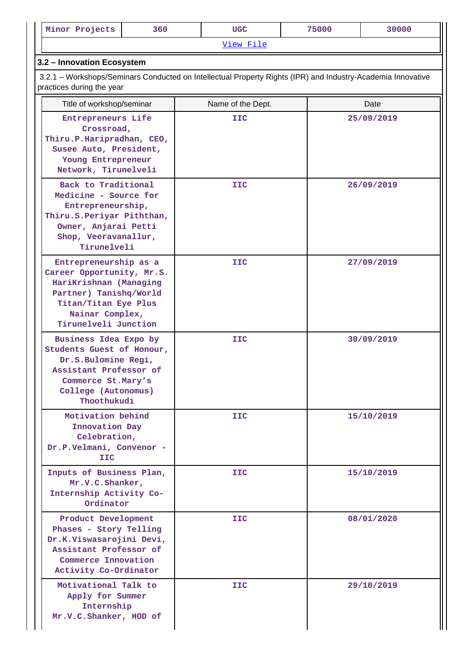| Minor Projects                                                                                                                                                            | 360 |  | <b>UGC</b> |  | 75000      | 30000      |  |
|---------------------------------------------------------------------------------------------------------------------------------------------------------------------------|-----|--|------------|--|------------|------------|--|
|                                                                                                                                                                           |     |  | View File  |  |            |            |  |
| 3.2 - Innovation Ecosystem                                                                                                                                                |     |  |            |  |            |            |  |
| 3.2.1 – Workshops/Seminars Conducted on Intellectual Property Rights (IPR) and Industry-Academia Innovative<br>practices during the year                                  |     |  |            |  |            |            |  |
| Title of workshop/seminar<br>Name of the Dept.<br>Date                                                                                                                    |     |  |            |  |            |            |  |
| Entrepreneurs Life<br>Crossroad,<br>Thiru.P.Haripradhan, CEO,<br>Susee Auto, President,<br>Young Entrepreneur<br>Network, Tirunelveli                                     |     |  | <b>IIC</b> |  |            | 25/09/2019 |  |
| Back to Traditional<br>Medicine - Source for<br>Entrepreneurship,<br>Thiru. S. Periyar Piththan,<br>Owner, Anjarai Petti<br>Shop, Veeravanallur,<br>Tirunelveli           |     |  | IIC        |  |            | 26/09/2019 |  |
| Entrepreneurship as a<br>Career Opportunity, Mr.S.<br>HariKrishnan (Managing<br>Partner) Tanishq/World<br>Titan/Titan Eye Plus<br>Nainar Complex,<br>Tirunelveli Junction |     |  | <b>IIC</b> |  |            | 27/09/2019 |  |
| Business Idea Expo by<br>Students Guest of Honour,<br>Dr.S.Bulomine Regi,<br>Assistant Professor of<br>Commerce St.Mary's<br>College (Autonomus)<br>Thoothukudi           |     |  | IIC        |  | 30/09/2019 |            |  |
| Motivation behind<br>Innovation Day<br>Celebration,<br>Dr.P.Velmani, Convenor -<br>IIC                                                                                    |     |  | IIC.       |  |            | 15/10/2019 |  |
| Inputs of Business Plan,<br>Mr.V.C.Shanker,<br>Internship Activity Co-<br>Ordinator                                                                                       |     |  | IIC.       |  |            | 15/10/2019 |  |
| Product Development<br>Phases - Story Telling<br>Dr.K.Viswasarojini Devi,<br>Assistant Professor of<br>Commerce Innovation<br>Activity Co-Ordinator                       |     |  | IIC.       |  |            | 08/01/2020 |  |
| Motivational Talk to<br>Apply for Summer<br>Internship<br>Mr.V.C.Shanker, HOD of                                                                                          |     |  | IIC.       |  |            | 29/10/2019 |  |

 $\mathbf{I}$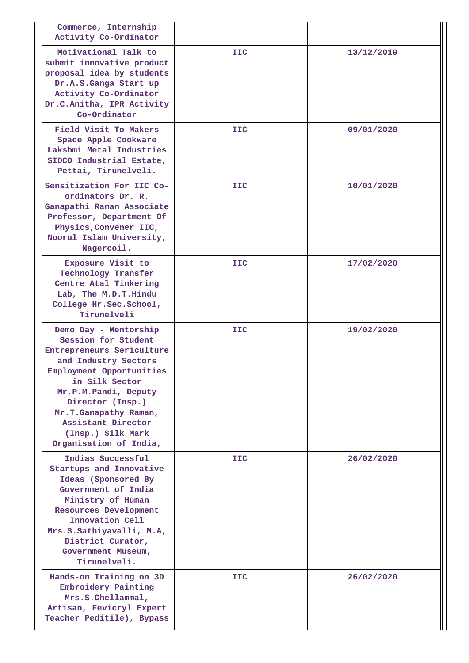| Commerce, Internship<br>Activity Co-Ordinator                                                                                                                                                                                                                                             |            |            |
|-------------------------------------------------------------------------------------------------------------------------------------------------------------------------------------------------------------------------------------------------------------------------------------------|------------|------------|
| Motivational Talk to<br>submit innovative product<br>proposal idea by students<br>Dr.A.S.Ganga Start up<br>Activity Co-Ordinator<br>Dr.C.Anitha, IPR Activity<br>Co-Ordinator                                                                                                             | <b>IIC</b> | 13/12/2019 |
| Field Visit To Makers<br>Space Apple Cookware<br>Lakshmi Metal Industries<br>SIDCO Industrial Estate,<br>Pettai, Tirunelveli.                                                                                                                                                             | <b>IIC</b> | 09/01/2020 |
| Sensitization For IIC Co-<br>ordinators Dr. R.<br>Ganapathi Raman Associate<br>Professor, Department Of<br>Physics, Convener IIC,<br>Noorul Islam University,<br>Nagercoil.                                                                                                               | <b>IIC</b> | 10/01/2020 |
| Exposure Visit to<br>Technology Transfer<br>Centre Atal Tinkering<br>Lab, The M.D.T. Hindu<br>College Hr. Sec. School,<br>Tirunelveli                                                                                                                                                     | <b>IIC</b> | 17/02/2020 |
| Demo Day - Mentorship<br>Session for Student<br>Entrepreneurs Sericulture<br>and Industry Sectors<br>Employment Opportunities<br>in Silk Sector<br>Mr.P.M.Pandi, Deputy<br>Director (Insp.)<br>Mr.T.Ganapathy Raman,<br>Assistant Director<br>(Insp.) Silk Mark<br>Organisation of India, | <b>IIC</b> | 19/02/2020 |
| Indias Successful<br>Startups and Innovative<br>Ideas (Sponsored By<br>Government of India<br>Ministry of Human<br>Resources Development<br>Innovation Cell<br>Mrs.S.Sathiyavalli, M.A,<br>District Curator,<br>Government Museum,<br>Tirunelveli.                                        | <b>IIC</b> | 26/02/2020 |
| Hands-on Training on 3D<br>Embroidery Painting<br>Mrs.S.Chellammal,<br>Artisan, Fevicryl Expert<br>Teacher Peditile), Bypass                                                                                                                                                              | <b>IIC</b> | 26/02/2020 |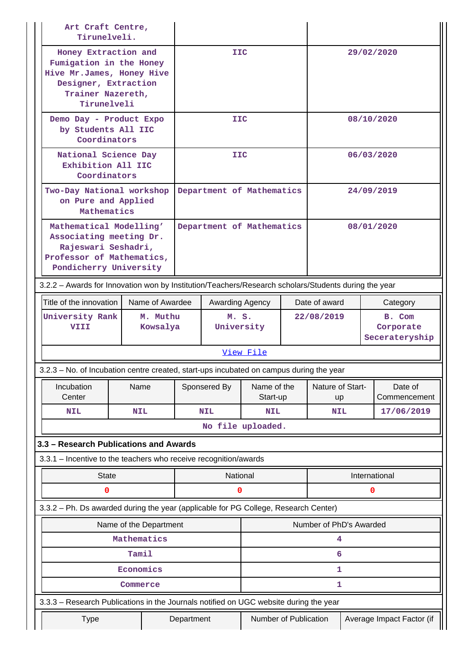| Art Craft Centre,<br>Tirunelveli.                                                                                                |                                                                                                                                          |                           |                     |                                                    |                         |  |                         |  |                                       |
|----------------------------------------------------------------------------------------------------------------------------------|------------------------------------------------------------------------------------------------------------------------------------------|---------------------------|---------------------|----------------------------------------------------|-------------------------|--|-------------------------|--|---------------------------------------|
|                                                                                                                                  | Honey Extraction and<br>Fumigation in the Honey<br>Hive Mr.James, Honey Hive<br>Designer, Extraction<br>Trainer Nazereth,<br>Tirunelveli |                           |                     | <b>IIC</b>                                         |                         |  |                         |  | 29/02/2020                            |
| Demo Day - Product Expo<br>by Students All IIC<br>Coordinators                                                                   |                                                                                                                                          |                           | <b>IIC</b>          |                                                    |                         |  | 08/10/2020              |  |                                       |
| National Science Day<br>Exhibition All IIC<br>Coordinators                                                                       |                                                                                                                                          |                           |                     | <b>IIC</b>                                         |                         |  |                         |  | 06/03/2020                            |
|                                                                                                                                  | Two-Day National workshop<br>on Pure and Applied<br>Mathematics                                                                          |                           |                     | Department of Mathematics                          |                         |  |                         |  | 24/09/2019                            |
| Mathematical Modelling'<br>Associating meeting Dr.<br>Rajeswari Seshadri,<br>Professor of Mathematics,<br>Pondicherry University |                                                                                                                                          | Department of Mathematics |                     |                                                    |                         |  | 08/01/2020              |  |                                       |
| 3.2.2 - Awards for Innovation won by Institution/Teachers/Research scholars/Students during the year                             |                                                                                                                                          |                           |                     |                                                    |                         |  |                         |  |                                       |
| Title of the innovation<br>Name of Awardee                                                                                       |                                                                                                                                          |                           |                     | Awarding Agency                                    |                         |  | Date of award           |  | Category                              |
| University Rank<br>VIII                                                                                                          | M. Muthu<br>Kowsalya                                                                                                                     |                           | M. S.<br>University |                                                    |                         |  | 22/08/2019              |  | B. Com<br>Corporate<br>Secerateryship |
|                                                                                                                                  |                                                                                                                                          |                           |                     |                                                    | View File               |  |                         |  |                                       |
| 3.2.3 - No. of Incubation centre created, start-ups incubated on campus during the year                                          |                                                                                                                                          |                           |                     |                                                    |                         |  |                         |  |                                       |
| Incubation<br>Center                                                                                                             | Name                                                                                                                                     |                           |                     | Sponsered By                                       | Name of the<br>Start-up |  | Nature of Start-<br>up  |  | Date of<br>Commencement               |
| <b>NIL</b>                                                                                                                       | <b>NIL</b>                                                                                                                               |                           |                     | <b>NIL</b>                                         | <b>NIL</b>              |  | <b>NIL</b>              |  | 17/06/2019                            |
|                                                                                                                                  |                                                                                                                                          |                           |                     | No file uploaded.                                  |                         |  |                         |  |                                       |
| 3.3 - Research Publications and Awards                                                                                           |                                                                                                                                          |                           |                     |                                                    |                         |  |                         |  |                                       |
| 3.3.1 - Incentive to the teachers who receive recognition/awards                                                                 |                                                                                                                                          |                           |                     |                                                    |                         |  |                         |  |                                       |
| <b>State</b>                                                                                                                     |                                                                                                                                          |                           |                     | National                                           |                         |  |                         |  | International                         |
| 0                                                                                                                                |                                                                                                                                          |                           |                     | 0                                                  |                         |  |                         |  | 0                                     |
| 3.3.2 - Ph. Ds awarded during the year (applicable for PG College, Research Center)                                              |                                                                                                                                          |                           |                     |                                                    |                         |  |                         |  |                                       |
|                                                                                                                                  |                                                                                                                                          | Name of the Department    |                     |                                                    |                         |  | Number of PhD's Awarded |  |                                       |
|                                                                                                                                  | Mathematics                                                                                                                              |                           |                     |                                                    |                         |  | 4                       |  |                                       |
|                                                                                                                                  | Tamil                                                                                                                                    |                           |                     |                                                    |                         |  | 6                       |  |                                       |
|                                                                                                                                  | Economics                                                                                                                                |                           |                     |                                                    |                         |  | 1                       |  |                                       |
|                                                                                                                                  | Commerce                                                                                                                                 |                           |                     |                                                    |                         |  | 1                       |  |                                       |
| 3.3.3 - Research Publications in the Journals notified on UGC website during the year                                            |                                                                                                                                          |                           |                     |                                                    |                         |  |                         |  |                                       |
| <b>Type</b><br>Department                                                                                                        |                                                                                                                                          |                           |                     | Number of Publication<br>Average Impact Factor (if |                         |  |                         |  |                                       |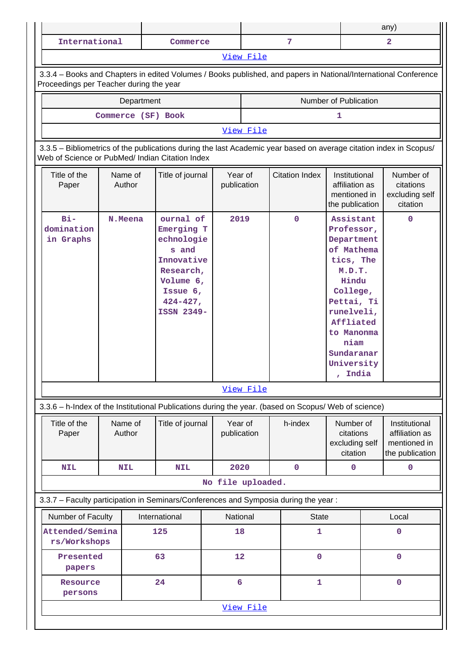|                                                                                                                                                                       |                   |  |                                                                                                                                     |                        |           |                                                                                                      |                                                                                                                                                                                                     | any)           |                                                                    |  |  |
|-----------------------------------------------------------------------------------------------------------------------------------------------------------------------|-------------------|--|-------------------------------------------------------------------------------------------------------------------------------------|------------------------|-----------|------------------------------------------------------------------------------------------------------|-----------------------------------------------------------------------------------------------------------------------------------------------------------------------------------------------------|----------------|--------------------------------------------------------------------|--|--|
| International                                                                                                                                                         |                   |  | Commerce                                                                                                                            |                        |           | 7                                                                                                    |                                                                                                                                                                                                     | $\overline{2}$ |                                                                    |  |  |
|                                                                                                                                                                       |                   |  |                                                                                                                                     |                        | View File |                                                                                                      |                                                                                                                                                                                                     |                |                                                                    |  |  |
| 3.3.4 - Books and Chapters in edited Volumes / Books published, and papers in National/International Conference<br>Proceedings per Teacher during the year            |                   |  |                                                                                                                                     |                        |           |                                                                                                      |                                                                                                                                                                                                     |                |                                                                    |  |  |
| Number of Publication<br>Department                                                                                                                                   |                   |  |                                                                                                                                     |                        |           |                                                                                                      |                                                                                                                                                                                                     |                |                                                                    |  |  |
| Commerce (SF) Book<br>1                                                                                                                                               |                   |  |                                                                                                                                     |                        |           |                                                                                                      |                                                                                                                                                                                                     |                |                                                                    |  |  |
| View File                                                                                                                                                             |                   |  |                                                                                                                                     |                        |           |                                                                                                      |                                                                                                                                                                                                     |                |                                                                    |  |  |
| 3.3.5 - Bibliometrics of the publications during the last Academic year based on average citation index in Scopus/<br>Web of Science or PubMed/ Indian Citation Index |                   |  |                                                                                                                                     |                        |           |                                                                                                      |                                                                                                                                                                                                     |                |                                                                    |  |  |
| Title of the<br>Paper                                                                                                                                                 | Name of<br>Author |  | Title of journal                                                                                                                    | Year of<br>publication |           | <b>Citation Index</b>                                                                                | Institutional<br>affiliation as<br>mentioned in<br>the publication                                                                                                                                  |                | Number of<br>citations<br>excluding self<br>citation               |  |  |
| $Bi-$<br>domination<br>in Graphs                                                                                                                                      | N. Meena          |  | ournal of<br>Emerging T<br>echnologie<br>s and<br>Innovative<br>Research,<br>Volume 6,<br>Issue $6,$<br>$424 - 427$ ,<br>ISSN 2349- | 2019                   |           | $\mathbf 0$                                                                                          | Assistant<br>Professor,<br>Department<br>of Mathema<br>tics, The<br>M.D.T.<br>Hindu<br>College,<br>Pettai, Ti<br>runelveli,<br>Affliated<br>to Manonma<br>niam<br>Sundaranar<br>University<br>India |                | $\mathbf 0$                                                        |  |  |
|                                                                                                                                                                       |                   |  |                                                                                                                                     |                        | View File |                                                                                                      |                                                                                                                                                                                                     |                |                                                                    |  |  |
|                                                                                                                                                                       |                   |  |                                                                                                                                     |                        |           | 3.3.6 - h-Index of the Institutional Publications during the year. (based on Scopus/ Web of science) |                                                                                                                                                                                                     |                |                                                                    |  |  |
| Title of the<br>Paper                                                                                                                                                 | Name of<br>Author |  | Title of journal                                                                                                                    | Year of<br>publication |           | h-index                                                                                              | Number of<br>citations<br>excluding self<br>citation                                                                                                                                                |                | Institutional<br>affiliation as<br>mentioned in<br>the publication |  |  |
| <b>NIL</b>                                                                                                                                                            | <b>NIL</b>        |  | <b>NIL</b>                                                                                                                          | 2020                   |           | $\mathbf 0$                                                                                          | 0                                                                                                                                                                                                   |                | $\mathbf 0$                                                        |  |  |
|                                                                                                                                                                       |                   |  |                                                                                                                                     | No file uploaded.      |           |                                                                                                      |                                                                                                                                                                                                     |                |                                                                    |  |  |
|                                                                                                                                                                       |                   |  |                                                                                                                                     |                        |           | 3.3.7 - Faculty participation in Seminars/Conferences and Symposia during the year:                  |                                                                                                                                                                                                     |                |                                                                    |  |  |
| Number of Faculty                                                                                                                                                     |                   |  | International                                                                                                                       | National               |           | <b>State</b>                                                                                         |                                                                                                                                                                                                     |                | Local                                                              |  |  |
| Attended/Semina<br>rs/Workshops                                                                                                                                       |                   |  | 125                                                                                                                                 | 18                     |           | 1                                                                                                    |                                                                                                                                                                                                     |                | $\mathbf 0$                                                        |  |  |
| Presented<br>papers                                                                                                                                                   |                   |  | 63                                                                                                                                  | 12                     |           | $\mathbf 0$                                                                                          |                                                                                                                                                                                                     |                | $\mathbf 0$                                                        |  |  |
| Resource<br>persons                                                                                                                                                   |                   |  | 24                                                                                                                                  | 6                      |           | 1                                                                                                    |                                                                                                                                                                                                     |                | $\mathbf 0$                                                        |  |  |
|                                                                                                                                                                       |                   |  |                                                                                                                                     |                        | View File |                                                                                                      |                                                                                                                                                                                                     |                |                                                                    |  |  |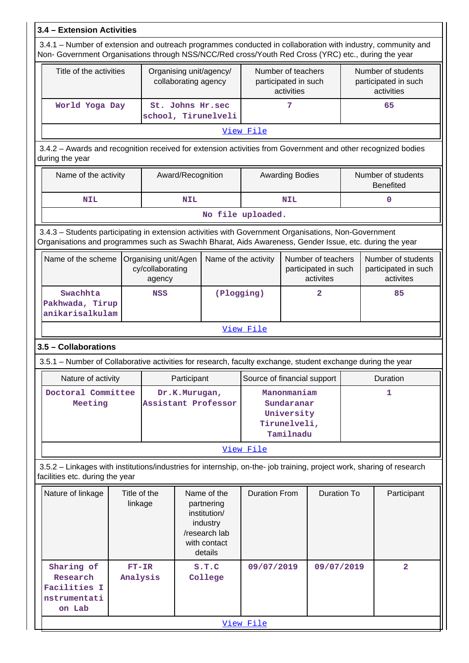| 3.4 - Extension Activities                                                                                                                                                                                         |                                                 |                                                    |                                                                                                   |                                         |                                                                      |                                                          |                                                         |             |                                                          |  |  |
|--------------------------------------------------------------------------------------------------------------------------------------------------------------------------------------------------------------------|-------------------------------------------------|----------------------------------------------------|---------------------------------------------------------------------------------------------------|-----------------------------------------|----------------------------------------------------------------------|----------------------------------------------------------|---------------------------------------------------------|-------------|----------------------------------------------------------|--|--|
| 3.4.1 - Number of extension and outreach programmes conducted in collaboration with industry, community and<br>Non- Government Organisations through NSS/NCC/Red cross/Youth Red Cross (YRC) etc., during the year |                                                 |                                                    |                                                                                                   |                                         |                                                                      |                                                          |                                                         |             |                                                          |  |  |
|                                                                                                                                                                                                                    | Title of the activities<br>collaborating agency |                                                    |                                                                                                   | Organising unit/agency/                 |                                                                      | Number of teachers<br>participated in such<br>activities |                                                         |             | Number of students<br>participated in such<br>activities |  |  |
| World Yoga Day                                                                                                                                                                                                     |                                                 |                                                    |                                                                                                   | St. Johns Hr.sec<br>school, Tirunelveli |                                                                      | 7                                                        |                                                         |             | 65                                                       |  |  |
|                                                                                                                                                                                                                    |                                                 |                                                    |                                                                                                   |                                         | View File                                                            |                                                          |                                                         |             |                                                          |  |  |
| 3.4.2 - Awards and recognition received for extension activities from Government and other recognized bodies<br>during the year                                                                                    |                                                 |                                                    |                                                                                                   |                                         |                                                                      |                                                          |                                                         |             |                                                          |  |  |
|                                                                                                                                                                                                                    | Name of the activity<br>Award/Recognition       |                                                    |                                                                                                   |                                         |                                                                      | <b>Awarding Bodies</b>                                   |                                                         |             | Number of students<br><b>Benefited</b>                   |  |  |
| <b>NIL</b>                                                                                                                                                                                                         |                                                 |                                                    | <b>NIL</b>                                                                                        |                                         |                                                                      | <b>NIL</b>                                               |                                                         |             | 0                                                        |  |  |
|                                                                                                                                                                                                                    |                                                 |                                                    |                                                                                                   |                                         | No file uploaded.                                                    |                                                          |                                                         |             |                                                          |  |  |
| 3.4.3 - Students participating in extension activities with Government Organisations, Non-Government<br>Organisations and programmes such as Swachh Bharat, Aids Awareness, Gender Issue, etc. during the year     |                                                 |                                                    |                                                                                                   |                                         |                                                                      |                                                          |                                                         |             |                                                          |  |  |
| Name of the scheme                                                                                                                                                                                                 |                                                 | Organising unit/Agen<br>cy/collaborating<br>agency | Name of the activity                                                                              |                                         |                                                                      |                                                          | Number of teachers<br>participated in such<br>activites |             | Number of students<br>participated in such<br>activites  |  |  |
| Swachhta<br>Pakhwada, Tirup<br>anikarisalkulam                                                                                                                                                                     |                                                 | <b>NSS</b>                                         |                                                                                                   | (Plogging)                              | $\overline{2}$                                                       |                                                          |                                                         | 85          |                                                          |  |  |
| View File                                                                                                                                                                                                          |                                                 |                                                    |                                                                                                   |                                         |                                                                      |                                                          |                                                         |             |                                                          |  |  |
| 3.5 - Collaborations                                                                                                                                                                                               |                                                 |                                                    |                                                                                                   |                                         |                                                                      |                                                          |                                                         |             |                                                          |  |  |
| 3.5.1 - Number of Collaborative activities for research, faculty exchange, student exchange during the year                                                                                                        |                                                 |                                                    |                                                                                                   |                                         |                                                                      |                                                          |                                                         |             |                                                          |  |  |
| Nature of activity                                                                                                                                                                                                 |                                                 |                                                    | Participant                                                                                       |                                         | Source of financial support                                          |                                                          |                                                         |             | Duration                                                 |  |  |
| Doctoral Committee<br>Meeting                                                                                                                                                                                      |                                                 |                                                    | Dr.K.Murugan,                                                                                     | Assistant Professor                     | Manonmaniam<br>Sundaranar<br>University<br>Tirunelveli,<br>Tamilnadu |                                                          |                                                         |             | 1                                                        |  |  |
|                                                                                                                                                                                                                    |                                                 |                                                    |                                                                                                   |                                         | View File                                                            |                                                          |                                                         |             |                                                          |  |  |
| 3.5.2 - Linkages with institutions/industries for internship, on-the- job training, project work, sharing of research<br>facilities etc. during the year                                                           |                                                 |                                                    |                                                                                                   |                                         |                                                                      |                                                          |                                                         |             |                                                          |  |  |
| Nature of linkage                                                                                                                                                                                                  | Title of the<br>linkage                         |                                                    | Name of the<br>partnering<br>institution/<br>industry<br>/research lab<br>with contact<br>details | <b>Duration From</b>                    |                                                                      | <b>Duration To</b>                                       |                                                         | Participant |                                                          |  |  |
| Sharing of<br>Research<br>Facilities I<br>nstrumentati<br>on Lab                                                                                                                                                   | $FT-IR$<br>Analysis                             |                                                    |                                                                                                   | S.T.C<br>College                        | 09/07/2019                                                           |                                                          | 09/07/2019                                              |             | $\overline{\mathbf{2}}$                                  |  |  |
|                                                                                                                                                                                                                    |                                                 |                                                    |                                                                                                   |                                         | View File                                                            |                                                          |                                                         |             |                                                          |  |  |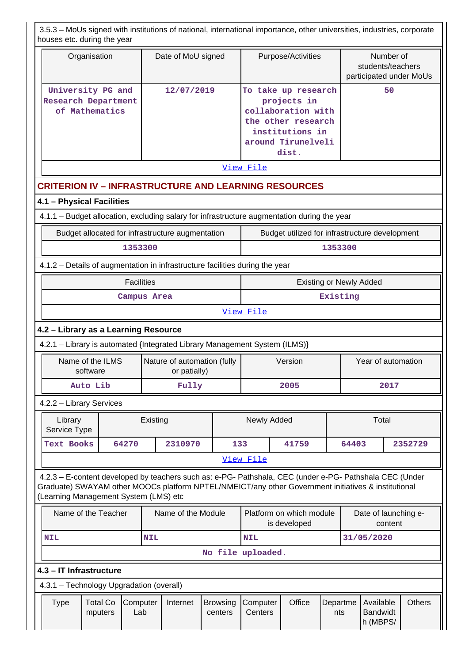| 3.5.3 - MoUs signed with institutions of national, international importance, other universities, industries, corporate<br>houses etc. during the year                                                                                                   |                                             |                            |                                |                                                                                                                                  |                 |                                              |           |               |
|---------------------------------------------------------------------------------------------------------------------------------------------------------------------------------------------------------------------------------------------------------|---------------------------------------------|----------------------------|--------------------------------|----------------------------------------------------------------------------------------------------------------------------------|-----------------|----------------------------------------------|-----------|---------------|
| Organisation                                                                                                                                                                                                                                            | Date of MoU signed                          |                            |                                | Purpose/Activities                                                                                                               |                 | students/teachers<br>participated under MoUs | Number of |               |
| University PG and<br><b>Research Department</b><br>of Mathematics                                                                                                                                                                                       | 12/07/2019                                  |                            |                                | To take up research<br>projects in<br>collaboration with<br>the other research<br>institutions in<br>around Tirunelveli<br>dist. | 50              |                                              |           |               |
| View File                                                                                                                                                                                                                                               |                                             |                            |                                |                                                                                                                                  |                 |                                              |           |               |
| <b>CRITERION IV - INFRASTRUCTURE AND LEARNING RESOURCES</b>                                                                                                                                                                                             |                                             |                            |                                |                                                                                                                                  |                 |                                              |           |               |
| 4.1 - Physical Facilities                                                                                                                                                                                                                               |                                             |                            |                                |                                                                                                                                  |                 |                                              |           |               |
| 4.1.1 - Budget allocation, excluding salary for infrastructure augmentation during the year                                                                                                                                                             |                                             |                            |                                |                                                                                                                                  |                 |                                              |           |               |
| Budget allocated for infrastructure augmentation                                                                                                                                                                                                        |                                             |                            |                                | Budget utilized for infrastructure development                                                                                   |                 |                                              |           |               |
| 1353300                                                                                                                                                                                                                                                 |                                             |                            |                                |                                                                                                                                  | 1353300         |                                              |           |               |
| 4.1.2 - Details of augmentation in infrastructure facilities during the year                                                                                                                                                                            |                                             |                            |                                |                                                                                                                                  |                 |                                              |           |               |
| <b>Facilities</b>                                                                                                                                                                                                                                       |                                             |                            | <b>Existing or Newly Added</b> |                                                                                                                                  |                 |                                              |           |               |
|                                                                                                                                                                                                                                                         | Campus Area                                 |                            |                                |                                                                                                                                  | Existing        |                                              |           |               |
| View File                                                                                                                                                                                                                                               |                                             |                            |                                |                                                                                                                                  |                 |                                              |           |               |
| 4.2 - Library as a Learning Resource                                                                                                                                                                                                                    |                                             |                            |                                |                                                                                                                                  |                 |                                              |           |               |
| 4.2.1 - Library is automated {Integrated Library Management System (ILMS)}                                                                                                                                                                              |                                             |                            |                                |                                                                                                                                  |                 |                                              |           |               |
| Name of the ILMS<br>software                                                                                                                                                                                                                            | Nature of automation (fully<br>or patially) |                            | Version                        |                                                                                                                                  |                 | Year of automation                           |           |               |
| Auto Lib                                                                                                                                                                                                                                                | Fully                                       |                            |                                | 2005                                                                                                                             |                 |                                              | 2017      |               |
| 4.2.2 - Library Services                                                                                                                                                                                                                                |                                             |                            |                                |                                                                                                                                  |                 |                                              |           |               |
| Library<br>Service Type                                                                                                                                                                                                                                 | Existing                                    |                            | Newly Added                    |                                                                                                                                  |                 | Total                                        |           |               |
| <b>Text Books</b><br>64270                                                                                                                                                                                                                              | 2310970                                     | 133                        |                                | 41759                                                                                                                            |                 | 64403                                        |           | 2352729       |
|                                                                                                                                                                                                                                                         |                                             |                            | View File                      |                                                                                                                                  |                 |                                              |           |               |
| 4.2.3 - E-content developed by teachers such as: e-PG- Pathshala, CEC (under e-PG- Pathshala CEC (Under<br>Graduate) SWAYAM other MOOCs platform NPTEL/NMEICT/any other Government initiatives & institutional<br>(Learning Management System (LMS) etc |                                             |                            |                                |                                                                                                                                  |                 |                                              |           |               |
| Name of the Teacher                                                                                                                                                                                                                                     | Name of the Module                          |                            |                                | Platform on which module<br>is developed                                                                                         |                 | Date of launching e-                         | content   |               |
| <b>NIL</b>                                                                                                                                                                                                                                              | <b>NIL</b>                                  |                            | <b>NIL</b>                     |                                                                                                                                  |                 | 31/05/2020                                   |           |               |
|                                                                                                                                                                                                                                                         |                                             |                            | No file uploaded.              |                                                                                                                                  |                 |                                              |           |               |
| 4.3 - IT Infrastructure                                                                                                                                                                                                                                 |                                             |                            |                                |                                                                                                                                  |                 |                                              |           |               |
| 4.3.1 - Technology Upgradation (overall)                                                                                                                                                                                                                |                                             |                            |                                |                                                                                                                                  |                 |                                              |           |               |
| <b>Total Co</b><br><b>Type</b><br>Computer<br>mputers<br>Lab                                                                                                                                                                                            | Internet                                    | <b>Browsing</b><br>centers | Computer<br>Centers            | Office                                                                                                                           | Departme<br>nts | Available<br><b>Bandwidt</b><br>h (MBPS/     |           | <b>Others</b> |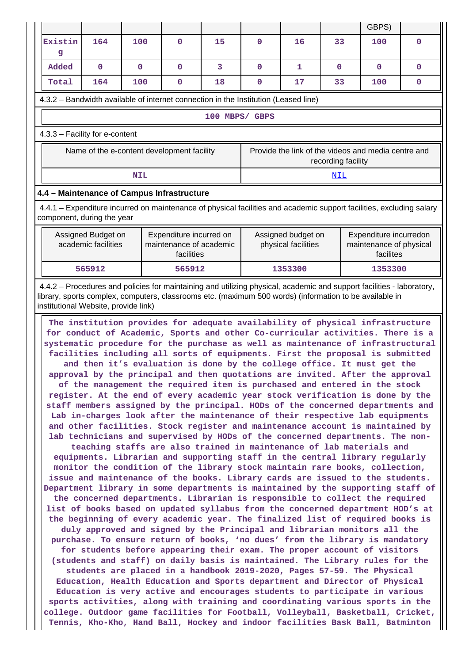|                                                                                                                                                                                                                                                                                                                                                                                                                                                                                                                                                                                                                                                                                                                                                                                                                                                                                                                                                                                                                                                                                                                                                                                                                                                                                                                                                                                                                                                                                                                                                                                                                                                                                                                                                                                                                                                                                                                                                                                                                                                                                                                                                                                                                                                                                                                                                                                                                                                                 |                                                                                        |              |    |                    |                     |              | GBPS)                                                          |              |  |  |
|-----------------------------------------------------------------------------------------------------------------------------------------------------------------------------------------------------------------------------------------------------------------------------------------------------------------------------------------------------------------------------------------------------------------------------------------------------------------------------------------------------------------------------------------------------------------------------------------------------------------------------------------------------------------------------------------------------------------------------------------------------------------------------------------------------------------------------------------------------------------------------------------------------------------------------------------------------------------------------------------------------------------------------------------------------------------------------------------------------------------------------------------------------------------------------------------------------------------------------------------------------------------------------------------------------------------------------------------------------------------------------------------------------------------------------------------------------------------------------------------------------------------------------------------------------------------------------------------------------------------------------------------------------------------------------------------------------------------------------------------------------------------------------------------------------------------------------------------------------------------------------------------------------------------------------------------------------------------------------------------------------------------------------------------------------------------------------------------------------------------------------------------------------------------------------------------------------------------------------------------------------------------------------------------------------------------------------------------------------------------------------------------------------------------------------------------------------------------|----------------------------------------------------------------------------------------|--------------|----|--------------------|---------------------|--------------|----------------------------------------------------------------|--------------|--|--|
| 164<br>Existin<br>g                                                                                                                                                                                                                                                                                                                                                                                                                                                                                                                                                                                                                                                                                                                                                                                                                                                                                                                                                                                                                                                                                                                                                                                                                                                                                                                                                                                                                                                                                                                                                                                                                                                                                                                                                                                                                                                                                                                                                                                                                                                                                                                                                                                                                                                                                                                                                                                                                                             | 100                                                                                    | $\Omega$     | 15 | $\Omega$           | 16                  | 33           | 100                                                            | $\Omega$     |  |  |
| Added<br>$\mathbf{0}$                                                                                                                                                                                                                                                                                                                                                                                                                                                                                                                                                                                                                                                                                                                                                                                                                                                                                                                                                                                                                                                                                                                                                                                                                                                                                                                                                                                                                                                                                                                                                                                                                                                                                                                                                                                                                                                                                                                                                                                                                                                                                                                                                                                                                                                                                                                                                                                                                                           | $\mathbf{O}$                                                                           | $\mathbf{O}$ | 3  | $\mathbf{O}$       | 1                   | $\mathbf{0}$ | $\mathbf{0}$                                                   | $\mathbf{0}$ |  |  |
| 164<br>Total                                                                                                                                                                                                                                                                                                                                                                                                                                                                                                                                                                                                                                                                                                                                                                                                                                                                                                                                                                                                                                                                                                                                                                                                                                                                                                                                                                                                                                                                                                                                                                                                                                                                                                                                                                                                                                                                                                                                                                                                                                                                                                                                                                                                                                                                                                                                                                                                                                                    | 100                                                                                    | $\mathbf 0$  | 18 | $\mathbf 0$        | 17                  | 33           | 100                                                            | 0            |  |  |
| 4.3.2 - Bandwidth available of internet connection in the Institution (Leased line)                                                                                                                                                                                                                                                                                                                                                                                                                                                                                                                                                                                                                                                                                                                                                                                                                                                                                                                                                                                                                                                                                                                                                                                                                                                                                                                                                                                                                                                                                                                                                                                                                                                                                                                                                                                                                                                                                                                                                                                                                                                                                                                                                                                                                                                                                                                                                                             |                                                                                        |              |    |                    |                     |              |                                                                |              |  |  |
| 100 MBPS/ GBPS                                                                                                                                                                                                                                                                                                                                                                                                                                                                                                                                                                                                                                                                                                                                                                                                                                                                                                                                                                                                                                                                                                                                                                                                                                                                                                                                                                                                                                                                                                                                                                                                                                                                                                                                                                                                                                                                                                                                                                                                                                                                                                                                                                                                                                                                                                                                                                                                                                                  |                                                                                        |              |    |                    |                     |              |                                                                |              |  |  |
| 4.3.3 - Facility for e-content                                                                                                                                                                                                                                                                                                                                                                                                                                                                                                                                                                                                                                                                                                                                                                                                                                                                                                                                                                                                                                                                                                                                                                                                                                                                                                                                                                                                                                                                                                                                                                                                                                                                                                                                                                                                                                                                                                                                                                                                                                                                                                                                                                                                                                                                                                                                                                                                                                  |                                                                                        |              |    |                    |                     |              |                                                                |              |  |  |
| Name of the e-content development facility<br>Provide the link of the videos and media centre and<br>recording facility                                                                                                                                                                                                                                                                                                                                                                                                                                                                                                                                                                                                                                                                                                                                                                                                                                                                                                                                                                                                                                                                                                                                                                                                                                                                                                                                                                                                                                                                                                                                                                                                                                                                                                                                                                                                                                                                                                                                                                                                                                                                                                                                                                                                                                                                                                                                         |                                                                                        |              |    |                    |                     |              |                                                                |              |  |  |
|                                                                                                                                                                                                                                                                                                                                                                                                                                                                                                                                                                                                                                                                                                                                                                                                                                                                                                                                                                                                                                                                                                                                                                                                                                                                                                                                                                                                                                                                                                                                                                                                                                                                                                                                                                                                                                                                                                                                                                                                                                                                                                                                                                                                                                                                                                                                                                                                                                                                 | <b>NIL</b>                                                                             |              |    |                    |                     | <u>NIL</u>   |                                                                |              |  |  |
| 4.4 - Maintenance of Campus Infrastructure                                                                                                                                                                                                                                                                                                                                                                                                                                                                                                                                                                                                                                                                                                                                                                                                                                                                                                                                                                                                                                                                                                                                                                                                                                                                                                                                                                                                                                                                                                                                                                                                                                                                                                                                                                                                                                                                                                                                                                                                                                                                                                                                                                                                                                                                                                                                                                                                                      |                                                                                        |              |    |                    |                     |              |                                                                |              |  |  |
| 4.4.1 – Expenditure incurred on maintenance of physical facilities and academic support facilities, excluding salary<br>component, during the year                                                                                                                                                                                                                                                                                                                                                                                                                                                                                                                                                                                                                                                                                                                                                                                                                                                                                                                                                                                                                                                                                                                                                                                                                                                                                                                                                                                                                                                                                                                                                                                                                                                                                                                                                                                                                                                                                                                                                                                                                                                                                                                                                                                                                                                                                                              |                                                                                        |              |    |                    |                     |              |                                                                |              |  |  |
| Assigned Budget on<br>academic facilities                                                                                                                                                                                                                                                                                                                                                                                                                                                                                                                                                                                                                                                                                                                                                                                                                                                                                                                                                                                                                                                                                                                                                                                                                                                                                                                                                                                                                                                                                                                                                                                                                                                                                                                                                                                                                                                                                                                                                                                                                                                                                                                                                                                                                                                                                                                                                                                                                       | Expenditure incurred on<br>Assigned budget on<br>maintenance of academic<br>facilities |              |    |                    | physical facilities |              | Expenditure incurredon<br>maintenance of physical<br>facilites |              |  |  |
| 565912                                                                                                                                                                                                                                                                                                                                                                                                                                                                                                                                                                                                                                                                                                                                                                                                                                                                                                                                                                                                                                                                                                                                                                                                                                                                                                                                                                                                                                                                                                                                                                                                                                                                                                                                                                                                                                                                                                                                                                                                                                                                                                                                                                                                                                                                                                                                                                                                                                                          |                                                                                        | 565912       |    | 1353300<br>1353300 |                     |              |                                                                |              |  |  |
| library, sports complex, computers, classrooms etc. (maximum 500 words) (information to be available in<br>institutional Website, provide link)<br>The institution provides for adequate availability of physical infrastructure<br>for conduct of Academic, Sports and other Co-curricular activities. There is a<br>systematic procedure for the purchase as well as maintenance of infrastructural<br>facilities including all sorts of equipments. First the proposal is submitted<br>and then it's evaluation is done by the college office. It must get the<br>approval by the principal and then quotations are invited. After the approval<br>of the management the required item is purchased and entered in the stock<br>register. At the end of every academic year stock verification is done by the<br>staff members assigned by the principal. HODs of the concerned departments and<br>Lab in-charges look after the maintenance of their respective lab equipments<br>and other facilities. Stock register and maintenance account is maintained by<br>lab technicians and supervised by HODs of the concerned departments. The non-<br>teaching staffs are also trained in maintenance of lab materials and<br>equipments. Librarian and supporting staff in the central library regularly<br>monitor the condition of the library stock maintain rare books, collection,<br>issue and maintenance of the books. Library cards are issued to the students.<br>Department library in some departments is maintained by the supporting staff of<br>the concerned departments. Librarian is responsible to collect the required<br>list of books based on updated syllabus from the concerned department HOD's at<br>the beginning of every academic year. The finalized list of required books is<br>duly approved and signed by the Principal and librarian monitors all the<br>purchase. To ensure return of books, 'no dues' from the library is mandatory<br>for students before appearing their exam. The proper account of visitors<br>(students and staff) on daily basis is maintained. The Library rules for the<br>students are placed in a handbook 2019-2020, Pages 57-59. The Physical<br>Education, Health Education and Sports department and Director of Physical<br>Education is very active and encourages students to participate in various<br>sports activities, along with training and coordinating various sports in the |                                                                                        |              |    |                    |                     |              |                                                                |              |  |  |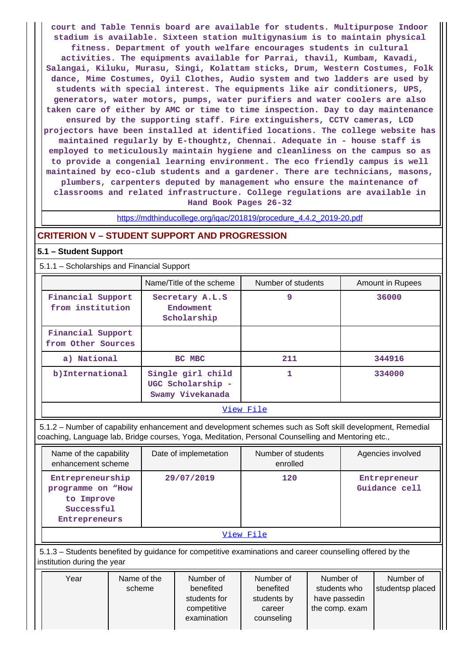**court and Table Tennis board are available for students. Multipurpose Indoor stadium is available. Sixteen station multigynasium is to maintain physical fitness. Department of youth welfare encourages students in cultural activities. The equipments available for Parrai, thavil, Kumbam, Kavadi, Salangai, Kiluku, Murasu, Singi, Kolattam sticks, Drum, Western Costumes, Folk dance, Mime Costumes, Oyil Clothes, Audio system and two ladders are used by students with special interest. The equipments like air conditioners, UPS, generators, water motors, pumps, water purifiers and water coolers are also taken care of either by AMC or time to time inspection. Day to day maintenance ensured by the supporting staff. Fire extinguishers, CCTV cameras, LCD projectors have been installed at identified locations. The college website has maintained regularly by E-thoughtz, Chennai. Adequate in - house staff is employed to meticulously maintain hygiene and cleanliness on the campus so as to provide a congenial learning environment. The eco friendly campus is well maintained by eco-club students and a gardener. There are technicians, masons, plumbers, carpenters deputed by management who ensure the maintenance of classrooms and related infrastructure. College regulations are available in Hand Book Pages 26-32**

[https://mdthinducollege.org/iqac/201819/procedure\\_4.4.2\\_2019-20.pdf](https://mdthinducollege.org/iqac/201819/procedure_4.4.2_2019-20.pdf)

## **CRITERION V – STUDENT SUPPORT AND PROGRESSION**

#### **5.1 – Student Support**

5.1.1 – Scholarships and Financial Support

|                                                                                | Name/Title of the scheme                    | Number of students | Amount in Rupees |
|--------------------------------------------------------------------------------|---------------------------------------------|--------------------|------------------|
| Financial Support<br>from institution                                          | Secretary A.L.S<br>Endowment<br>Scholarship | 9                  | 36000            |
| Financial Support<br>from Other Sources                                        |                                             |                    |                  |
| a) National                                                                    | BC MBC                                      | 211                | 344916           |
| b) International<br>Single girl child<br>UGC Scholarship -<br>Swamy Vivekanada |                                             |                    | 334000           |
|                                                                                |                                             | View File          |                  |

 5.1.2 – Number of capability enhancement and development schemes such as Soft skill development, Remedial coaching, Language lab, Bridge courses, Yoga, Meditation, Personal Counselling and Mentoring etc.,

| Name of the capability<br>enhancement scheme                                       | Date of implemetation | Number of students<br>enrolled | Agencies involved             |
|------------------------------------------------------------------------------------|-----------------------|--------------------------------|-------------------------------|
| Entrepreneurship<br>programme on "How<br>to Improve<br>Successful<br>Entrepreneurs | 29/07/2019            | 120                            | Entrepreneur<br>Guidance cell |
|                                                                                    |                       | View File                      |                               |

 5.1.3 – Students benefited by guidance for competitive examinations and career counselling offered by the institution during the year

| Year | Name of the | Number of    | Number of   | Number of      | Number of        |
|------|-------------|--------------|-------------|----------------|------------------|
|      | scheme      | benefited    | benefited   | students who   | studentsp placed |
|      |             | students for | students by | have passedin  |                  |
|      |             | competitive  | career      | the comp. exam |                  |
|      |             | examination  | counseling  |                |                  |
|      |             |              |             |                |                  |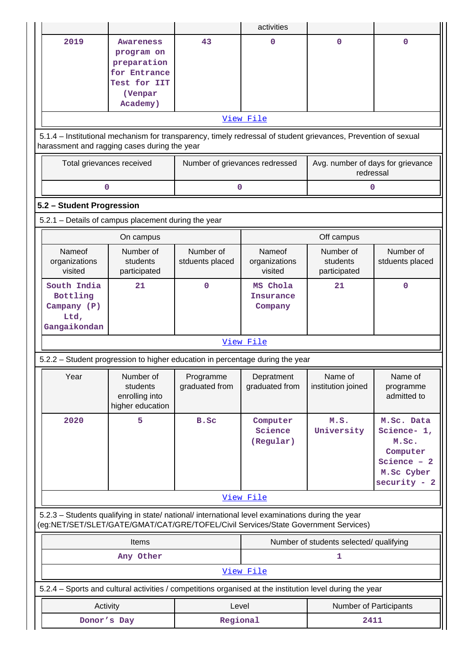|                                                                                                                                                                |                                                                                                          | activities                     |                |                                                |                          |  |  |  |  |  |
|----------------------------------------------------------------------------------------------------------------------------------------------------------------|----------------------------------------------------------------------------------------------------------|--------------------------------|----------------|------------------------------------------------|--------------------------|--|--|--|--|--|
| 2019                                                                                                                                                           | Awareness                                                                                                | 43                             | 0              | $\mathbf 0$                                    | 0                        |  |  |  |  |  |
|                                                                                                                                                                | program on                                                                                               |                                |                |                                                |                          |  |  |  |  |  |
|                                                                                                                                                                | preparation                                                                                              |                                |                |                                                |                          |  |  |  |  |  |
|                                                                                                                                                                | for Entrance                                                                                             |                                |                |                                                |                          |  |  |  |  |  |
|                                                                                                                                                                | Test for IIT                                                                                             |                                |                |                                                |                          |  |  |  |  |  |
|                                                                                                                                                                | (Venpar<br>Academy)                                                                                      |                                |                |                                                |                          |  |  |  |  |  |
|                                                                                                                                                                |                                                                                                          |                                |                |                                                |                          |  |  |  |  |  |
|                                                                                                                                                                |                                                                                                          |                                | View File      |                                                |                          |  |  |  |  |  |
| 5.1.4 – Institutional mechanism for transparency, timely redressal of student grievances, Prevention of sexual<br>harassment and ragging cases during the year |                                                                                                          |                                |                |                                                |                          |  |  |  |  |  |
| Total grievances received                                                                                                                                      |                                                                                                          | Number of grievances redressed |                | Avg. number of days for grievance<br>redressal |                          |  |  |  |  |  |
| 0                                                                                                                                                              |                                                                                                          | 0                              |                | 0                                              |                          |  |  |  |  |  |
| 5.2 - Student Progression                                                                                                                                      |                                                                                                          |                                |                |                                                |                          |  |  |  |  |  |
|                                                                                                                                                                | 5.2.1 - Details of campus placement during the year                                                      |                                |                |                                                |                          |  |  |  |  |  |
|                                                                                                                                                                | On campus                                                                                                |                                |                | Off campus                                     |                          |  |  |  |  |  |
| Nameof                                                                                                                                                         | Number of                                                                                                | Number of                      | Nameof         | Number of                                      | Number of                |  |  |  |  |  |
| organizations                                                                                                                                                  | students                                                                                                 | stduents placed                | organizations  | students                                       | stduents placed          |  |  |  |  |  |
| visited                                                                                                                                                        | participated                                                                                             |                                | visited        | participated                                   |                          |  |  |  |  |  |
| South India                                                                                                                                                    | 21                                                                                                       | 0                              | MS Chola       | 21                                             | 0                        |  |  |  |  |  |
| Bottling                                                                                                                                                       |                                                                                                          |                                | Insurance      |                                                |                          |  |  |  |  |  |
| Campany (P)                                                                                                                                                    |                                                                                                          |                                | Company        |                                                |                          |  |  |  |  |  |
| Ltd,                                                                                                                                                           |                                                                                                          |                                |                |                                                |                          |  |  |  |  |  |
| Gangaikondan                                                                                                                                                   |                                                                                                          |                                | View File      |                                                |                          |  |  |  |  |  |
|                                                                                                                                                                | 5.2.2 – Student progression to higher education in percentage during the year                            |                                |                |                                                |                          |  |  |  |  |  |
|                                                                                                                                                                |                                                                                                          |                                |                |                                                |                          |  |  |  |  |  |
| Year                                                                                                                                                           | Number of<br>students                                                                                    | Programme<br>graduated from    | Depratment     | Name of<br>institution joined                  | Name of                  |  |  |  |  |  |
|                                                                                                                                                                | enrolling into                                                                                           |                                | graduated from |                                                | programme<br>admitted to |  |  |  |  |  |
|                                                                                                                                                                | higher education                                                                                         |                                |                |                                                |                          |  |  |  |  |  |
| 2020                                                                                                                                                           | 5                                                                                                        | B.Sc                           | Computer       | M.S.                                           | M.Sc. Data               |  |  |  |  |  |
|                                                                                                                                                                |                                                                                                          |                                | Science        | University                                     | Science- 1,              |  |  |  |  |  |
|                                                                                                                                                                |                                                                                                          |                                | (Regular)      |                                                | M.Sc.                    |  |  |  |  |  |
|                                                                                                                                                                |                                                                                                          |                                |                |                                                | Computer                 |  |  |  |  |  |
|                                                                                                                                                                |                                                                                                          |                                |                |                                                | Science $-2$             |  |  |  |  |  |
|                                                                                                                                                                |                                                                                                          |                                |                |                                                | M.Sc Cyber               |  |  |  |  |  |
|                                                                                                                                                                |                                                                                                          |                                |                |                                                | $security - 2$           |  |  |  |  |  |
|                                                                                                                                                                |                                                                                                          |                                | View File      |                                                |                          |  |  |  |  |  |
|                                                                                                                                                                | 5.2.3 - Students qualifying in state/ national/ international level examinations during the year         |                                |                |                                                |                          |  |  |  |  |  |
|                                                                                                                                                                | (eg:NET/SET/SLET/GATE/GMAT/CAT/GRE/TOFEL/Civil Services/State Government Services)                       |                                |                |                                                |                          |  |  |  |  |  |
|                                                                                                                                                                | Items                                                                                                    |                                |                | Number of students selected/ qualifying        |                          |  |  |  |  |  |
|                                                                                                                                                                | Any Other                                                                                                |                                |                | 1                                              |                          |  |  |  |  |  |
|                                                                                                                                                                |                                                                                                          |                                | View File      |                                                |                          |  |  |  |  |  |
|                                                                                                                                                                | 5.2.4 - Sports and cultural activities / competitions organised at the institution level during the year |                                |                |                                                |                          |  |  |  |  |  |
| Activity                                                                                                                                                       |                                                                                                          | Level                          |                | Number of Participants                         |                          |  |  |  |  |  |
| Donor's Day                                                                                                                                                    |                                                                                                          | Regional                       |                | 2411                                           |                          |  |  |  |  |  |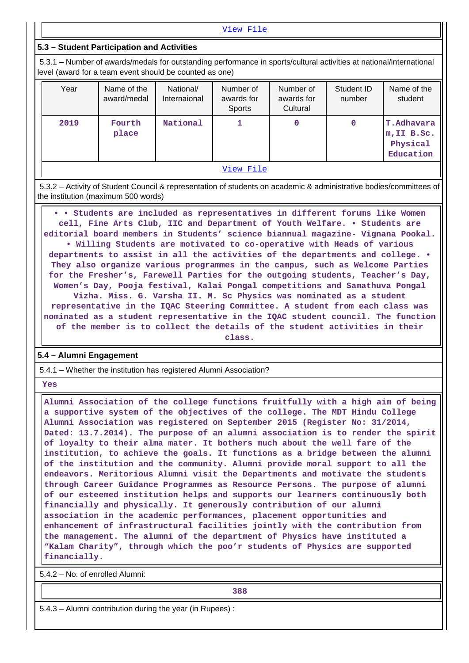[View File](https://assessmentonline.naac.gov.in/public/Postacc/Activities_Organised/6849_Activities_Organised_1602585781.xlsx)

## **5.3 – Student Participation and Activities**

 5.3.1 – Number of awards/medals for outstanding performance in sports/cultural activities at national/international level (award for a team event should be counted as one)

| Year | Name of the<br>award/medal | National/<br>Internaional | Number of<br>awards for<br><b>Sports</b> | Number of<br>awards for<br>Cultural | Student ID<br>number | Name of the<br>student                                    |
|------|----------------------------|---------------------------|------------------------------------------|-------------------------------------|----------------------|-----------------------------------------------------------|
| 2019 | Fourth<br>place            | National                  |                                          | 0                                   | 0                    | <b>T.Adhavara</b><br>m, II B.Sc.<br>Physical<br>Education |
|      |                            |                           | View File                                |                                     |                      |                                                           |

 5.3.2 – Activity of Student Council & representation of students on academic & administrative bodies/committees of the institution (maximum 500 words)

 **• • Students are included as representatives in different forums like Women cell, Fine Arts Club, IIC and Department of Youth Welfare. • Students are editorial board members in Students' science biannual magazine- Vignana Pookal. • Willing Students are motivated to co-operative with Heads of various departments to assist in all the activities of the departments and college. • They also organize various programmes in the campus, such as Welcome Parties for the Fresher's, Farewell Parties for the outgoing students, Teacher's Day, Women's Day, Pooja festival, Kalai Pongal competitions and Samathuva Pongal Vizha. Miss. G. Varsha II. M. Sc Physics was nominated as a student representative in the IQAC Steering Committee. A student from each class was nominated as a student representative in the IQAC student council. The function of the member is to collect the details of the student activities in their class.**

#### **5.4 – Alumni Engagement**

5.4.1 – Whether the institution has registered Alumni Association?

 **Yes**

 **Alumni Association of the college functions fruitfully with a high aim of being a supportive system of the objectives of the college. The MDT Hindu College Alumni Association was registered on September 2015 (Register No: 31/2014, Dated: 13.7.2014). The purpose of an alumni association is to render the spirit of loyalty to their alma mater. It bothers much about the well fare of the institution, to achieve the goals. It functions as a bridge between the alumni of the institution and the community. Alumni provide moral support to all the endeavors. Meritorious Alumni visit the Departments and motivate the students through Career Guidance Programmes as Resource Persons. The purpose of alumni of our esteemed institution helps and supports our learners continuously both financially and physically. It generously contribution of our alumni association in the academic performances, placement opportunities and enhancement of infrastructural facilities jointly with the contribution from the management. The alumni of the department of Physics have instituted a "Kalam Charity", through which the poo'r students of Physics are supported financially.**

5.4.2 – No. of enrolled Alumni:

**388**

5.4.3 – Alumni contribution during the year (in Rupees) :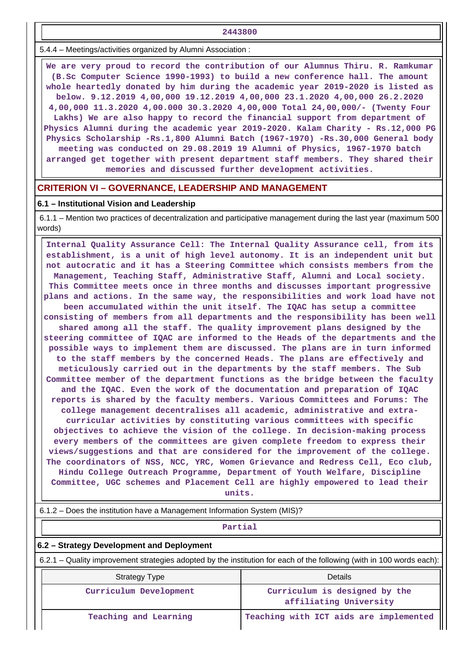**2443800**

5.4.4 – Meetings/activities organized by Alumni Association :

 **We are very proud to record the contribution of our Alumnus Thiru. R. Ramkumar (B.Sc Computer Science 1990-1993) to build a new conference hall. The amount whole heartedly donated by him during the academic year 2019-2020 is listed as below. 9.12.2019 4,00,000 19.12.2019 4,00,000 23.1.2020 4,00,000 26.2.2020 4,00,000 11.3.2020 4,00.000 30.3.2020 4,00,000 Total 24,00,000/- (Twenty Four Lakhs) We are also happy to record the financial support from department of Physics Alumni during the academic year 2019-2020. Kalam Charity - Rs.12,000 PG Physics Scholarship -Rs.1,800 Alumni Batch (1967-1970) -Rs.30,000 General body meeting was conducted on 29.08.2019 19 Alumni of Physics, 1967-1970 batch arranged get together with present department staff members. They shared their memories and discussed further development activities.**

#### **CRITERION VI – GOVERNANCE, LEADERSHIP AND MANAGEMENT**

#### **6.1 – Institutional Vision and Leadership**

 6.1.1 – Mention two practices of decentralization and participative management during the last year (maximum 500 words)

 **Internal Quality Assurance Cell: The Internal Quality Assurance cell, from its establishment, is a unit of high level autonomy. It is an independent unit but not autocratic and it has a Steering Committee which consists members from the Management, Teaching Staff, Administrative Staff, Alumni and Local society. This Committee meets once in three months and discusses important progressive plans and actions. In the same way, the responsibilities and work load have not been accumulated within the unit itself. The IQAC has setup a committee consisting of members from all departments and the responsibility has been well shared among all the staff. The quality improvement plans designed by the steering committee of IQAC are informed to the Heads of the departments and the possible ways to implement them are discussed. The plans are in turn informed to the staff members by the concerned Heads. The plans are effectively and meticulously carried out in the departments by the staff members. The Sub Committee member of the department functions as the bridge between the faculty and the IQAC. Even the work of the documentation and preparation of IQAC reports is shared by the faculty members. Various Committees and Forums: The college management decentralises all academic, administrative and extracurricular activities by constituting various committees with specific objectives to achieve the vision of the college. In decision-making process every members of the committees are given complete freedom to express their views/suggestions and that are considered for the improvement of the college. The coordinators of NSS, NCC, YRC, Women Grievance and Redress Cell, Eco club, Hindu College Outreach Programme, Department of Youth Welfare, Discipline Committee, UGC schemes and Placement Cell are highly empowered to lead their units.**

6.1.2 – Does the institution have a Management Information System (MIS)?

#### **Partial**

#### **6.2 – Strategy Development and Deployment**

6.2.1 – Quality improvement strategies adopted by the institution for each of the following (with in 100 words each):

| <b>Strategy Type</b>   | Details                                                 |  |  |  |  |  |
|------------------------|---------------------------------------------------------|--|--|--|--|--|
| Curriculum Development | Curriculum is designed by the<br>affiliating University |  |  |  |  |  |
| Teaching and Learning  | Teaching with ICT aids are implemented                  |  |  |  |  |  |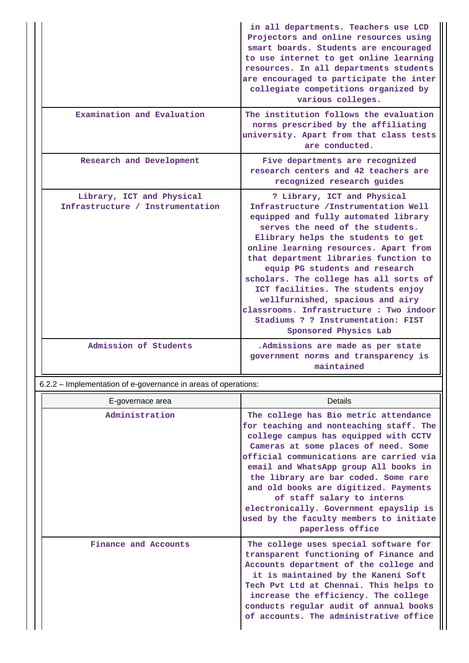|                                                               | in all departments. Teachers use LCD<br>Projectors and online resources using<br>smart boards. Students are encouraged<br>to use internet to get online learning<br>resources. In all departments students<br>are encouraged to participate the inter<br>collegiate competitions organized by<br>various colleges.                                                                                                                                                                                                                       |
|---------------------------------------------------------------|------------------------------------------------------------------------------------------------------------------------------------------------------------------------------------------------------------------------------------------------------------------------------------------------------------------------------------------------------------------------------------------------------------------------------------------------------------------------------------------------------------------------------------------|
| Examination and Evaluation                                    | The institution follows the evaluation<br>norms prescribed by the affiliating<br>university. Apart from that class tests<br>are conducted.                                                                                                                                                                                                                                                                                                                                                                                               |
| Research and Development                                      | Five departments are recognized<br>research centers and 42 teachers are<br>recognized research guides                                                                                                                                                                                                                                                                                                                                                                                                                                    |
| Library, ICT and Physical<br>Infrastructure / Instrumentation | ? Library, ICT and Physical<br>Infrastructure / Instrumentation Well<br>equipped and fully automated library<br>serves the need of the students.<br>Elibrary helps the students to get<br>online learning resources. Apart from<br>that department libraries function to<br>equip PG students and research<br>scholars. The college has all sorts of<br>ICT facilities. The students enjoy<br>wellfurnished, spacious and airy<br>classrooms. Infrastructure : Two indoor<br>Stadiums ? ? Instrumentation: FIST<br>Sponsored Physics Lab |
| Admission of Students                                         | .Admissions are made as per state<br>government norms and transparency is<br>maintained                                                                                                                                                                                                                                                                                                                                                                                                                                                  |

6.2.2 – Implementation of e-governance in areas of operations:

|  | E-governace area     | Details                                                                                                                                                                                                                                                                                                                                                                                                                                                                       |
|--|----------------------|-------------------------------------------------------------------------------------------------------------------------------------------------------------------------------------------------------------------------------------------------------------------------------------------------------------------------------------------------------------------------------------------------------------------------------------------------------------------------------|
|  | Administration       | The college has Bio metric attendance<br>for teaching and nonteaching staff. The<br>college campus has equipped with CCTV<br>Cameras at some places of need. Some<br>official communications are carried via<br>email and WhatsApp group All books in<br>the library are bar coded. Some rare<br>and old books are digitized. Payments<br>of staff salary to interns<br>electronically. Government epayslip is<br>used by the faculty members to initiate<br>paperless office |
|  | Finance and Accounts | The college uses special software for<br>transparent functioning of Finance and<br>Accounts department of the college and<br>it is maintained by the Kaneni Soft<br>Tech Pvt Ltd at Chennai. This helps to<br>increase the efficiency. The college<br>conducts regular audit of annual books<br>of accounts. The administrative office                                                                                                                                        |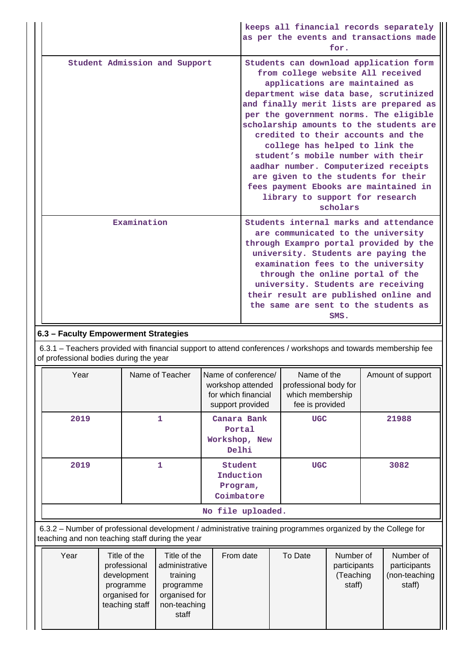|                               | keeps all financial records separately<br>as per the events and transactions made<br>for.                                                                                                                                                                                                                                                                                                                                                                                                                                                                                    |
|-------------------------------|------------------------------------------------------------------------------------------------------------------------------------------------------------------------------------------------------------------------------------------------------------------------------------------------------------------------------------------------------------------------------------------------------------------------------------------------------------------------------------------------------------------------------------------------------------------------------|
| Student Admission and Support | Students can download application form<br>from college website All received<br>applications are maintained as<br>department wise data base, scrutinized<br>and finally merit lists are prepared as<br>per the government norms. The eligible<br>scholarship amounts to the students are<br>credited to their accounts and the<br>college has helped to link the<br>student's mobile number with their<br>aadhar number. Computerized receipts<br>are given to the students for their<br>fees payment Ebooks are maintained in<br>library to support for research<br>scholars |
| Examination                   | Students internal marks and attendance<br>are communicated to the university<br>through Exampro portal provided by the<br>university. Students are paying the<br>examination fees to the university<br>through the online portal of the<br>university. Students are receiving<br>their result are published online and<br>the same are sent to the students as<br>SMS.                                                                                                                                                                                                       |

# **6.3 – Faculty Empowerment Strategies**

 6.3.1 – Teachers provided with financial support to attend conferences / workshops and towards membership fee of professional bodies during the year

| Year | Name of Teacher | Name of conference/<br>workshop attended<br>for which financial<br>support provided | Name of the<br>professional body for<br>which membership<br>fee is provided | Amount of support |  |
|------|-----------------|-------------------------------------------------------------------------------------|-----------------------------------------------------------------------------|-------------------|--|
| 2019 |                 | Canara Bank<br>Portal<br>Workshop, New<br>Delhi                                     | <b>UGC</b>                                                                  | 21988             |  |
| 2019 |                 | Student<br>Induction<br>Program,<br>Coimbatore                                      | <b>UGC</b>                                                                  | 3082              |  |
|      |                 | No file uploaded.                                                                   |                                                                             |                   |  |

 6.3.2 – Number of professional development / administrative training programmes organized by the College for teaching and non teaching staff during the year

| Year | Title of the<br>professional<br>development<br>programme<br>organised for<br>teaching staff | Title of the<br>administrative<br>training<br>programme<br>organised for<br>non-teaching<br>staff | From date | To Date | Number of<br>participants<br>(Teaching<br>staff) | Number of<br>participants<br>(non-teaching<br>staff) |
|------|---------------------------------------------------------------------------------------------|---------------------------------------------------------------------------------------------------|-----------|---------|--------------------------------------------------|------------------------------------------------------|
|      |                                                                                             |                                                                                                   |           |         |                                                  |                                                      |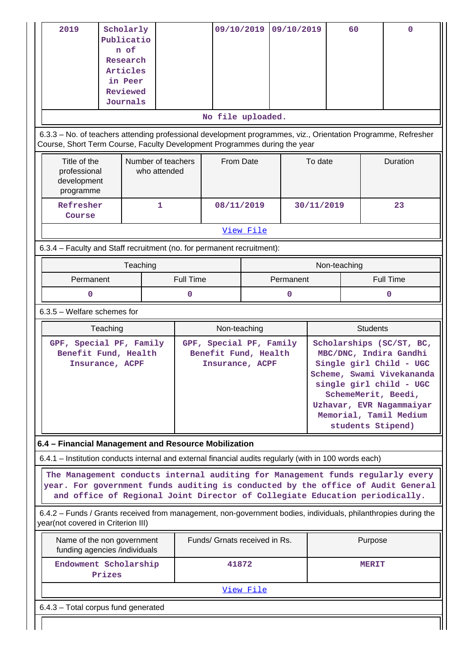| 2019                                                                                                                                                                                                                                             | Scholarly<br>Publicatio<br>n of<br>Research<br>Articles<br>in Peer<br>Reviewed<br>Journals |                                    |                       | 09/10/2019                                                         |           | 09/10/2019     |            | 60           |                 | $\Omega$                                                                                                                                                                                                                                |
|--------------------------------------------------------------------------------------------------------------------------------------------------------------------------------------------------------------------------------------------------|--------------------------------------------------------------------------------------------|------------------------------------|-----------------------|--------------------------------------------------------------------|-----------|----------------|------------|--------------|-----------------|-----------------------------------------------------------------------------------------------------------------------------------------------------------------------------------------------------------------------------------------|
|                                                                                                                                                                                                                                                  |                                                                                            |                                    |                       | No file uploaded.                                                  |           |                |            |              |                 |                                                                                                                                                                                                                                         |
| 6.3.3 - No. of teachers attending professional development programmes, viz., Orientation Programme, Refresher<br>Course, Short Term Course, Faculty Development Programmes during the year                                                       |                                                                                            |                                    |                       |                                                                    |           |                |            |              |                 |                                                                                                                                                                                                                                         |
| Title of the<br>professional<br>development<br>programme                                                                                                                                                                                         |                                                                                            | Number of teachers<br>who attended |                       | From Date                                                          |           |                | To date    |              |                 | Duration                                                                                                                                                                                                                                |
| Refresher<br>Course                                                                                                                                                                                                                              |                                                                                            | 1                                  |                       | 08/11/2019                                                         |           |                | 30/11/2019 |              |                 | 23                                                                                                                                                                                                                                      |
|                                                                                                                                                                                                                                                  |                                                                                            |                                    |                       |                                                                    | View File |                |            |              |                 |                                                                                                                                                                                                                                         |
| 6.3.4 - Faculty and Staff recruitment (no. for permanent recruitment):                                                                                                                                                                           |                                                                                            |                                    |                       |                                                                    |           |                |            |              |                 |                                                                                                                                                                                                                                         |
|                                                                                                                                                                                                                                                  |                                                                                            | Teaching                           |                       |                                                                    |           |                |            | Non-teaching |                 |                                                                                                                                                                                                                                         |
| Permanent<br>O                                                                                                                                                                                                                                   |                                                                                            |                                    | <b>Full Time</b><br>0 |                                                                    |           | Permanent<br>0 |            |              |                 | <b>Full Time</b><br>0                                                                                                                                                                                                                   |
| $6.3.5$ – Welfare schemes for                                                                                                                                                                                                                    |                                                                                            |                                    |                       |                                                                    |           |                |            |              |                 |                                                                                                                                                                                                                                         |
|                                                                                                                                                                                                                                                  | Teaching                                                                                   |                                    |                       | Non-teaching                                                       |           |                |            |              | <b>Students</b> |                                                                                                                                                                                                                                         |
| GPF, Special PF, Family<br>Benefit Fund, Health                                                                                                                                                                                                  | Insurance, ACPF                                                                            |                                    |                       | GPF, Special PF, Family<br>Benefit Fund, Health<br>Insurance, ACPF |           |                |            |              |                 | Scholarships (SC/ST, BC,<br>MBC/DNC, Indira Gandhi<br>Single girl Child - UGC<br>Scheme, Swami Vivekananda<br>single girl child - UGC<br>SchemeMerit, Beedi,<br>Uzhavar, EVR Nagammaiyar<br>Memorial, Tamil Medium<br>students Stipend) |
| 6.4 - Financial Management and Resource Mobilization                                                                                                                                                                                             |                                                                                            |                                    |                       |                                                                    |           |                |            |              |                 |                                                                                                                                                                                                                                         |
| 6.4.1 – Institution conducts internal and external financial audits regularly (with in 100 words each)                                                                                                                                           |                                                                                            |                                    |                       |                                                                    |           |                |            |              |                 |                                                                                                                                                                                                                                         |
| The Management conducts internal auditing for Management funds regularly every<br>year. For government funds auditing is conducted by the office of Audit General<br>and office of Regional Joint Director of Collegiate Education periodically. |                                                                                            |                                    |                       |                                                                    |           |                |            |              |                 |                                                                                                                                                                                                                                         |
| 6.4.2 - Funds / Grants received from management, non-government bodies, individuals, philanthropies during the<br>year(not covered in Criterion III)                                                                                             |                                                                                            |                                    |                       |                                                                    |           |                |            |              |                 |                                                                                                                                                                                                                                         |
| Name of the non government<br>funding agencies /individuals                                                                                                                                                                                      |                                                                                            |                                    |                       | Funds/ Grnats received in Rs.                                      |           |                |            |              | Purpose         |                                                                                                                                                                                                                                         |
| Endowment Scholarship<br>Prizes                                                                                                                                                                                                                  |                                                                                            |                                    |                       | 41872                                                              |           |                |            |              | <b>MERIT</b>    |                                                                                                                                                                                                                                         |
|                                                                                                                                                                                                                                                  |                                                                                            |                                    |                       |                                                                    | View File |                |            |              |                 |                                                                                                                                                                                                                                         |
| 6.4.3 - Total corpus fund generated                                                                                                                                                                                                              |                                                                                            |                                    |                       |                                                                    |           |                |            |              |                 |                                                                                                                                                                                                                                         |
|                                                                                                                                                                                                                                                  |                                                                                            |                                    |                       |                                                                    |           |                |            |              |                 |                                                                                                                                                                                                                                         |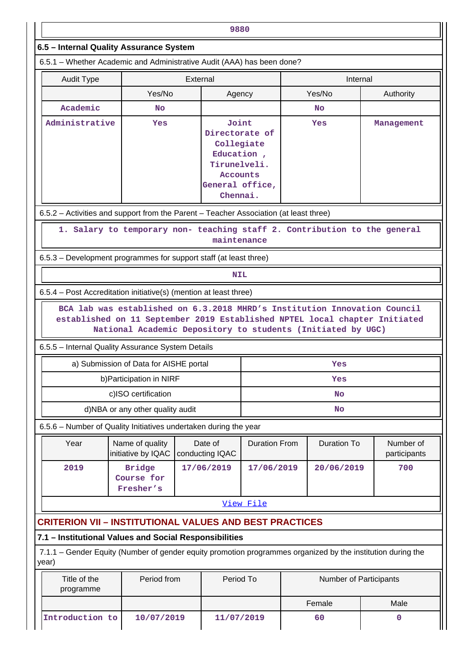|                                                                                                                      |                                                                                                                                           |          | 9880                                                                                                           |                      |  |                        |  |                           |
|----------------------------------------------------------------------------------------------------------------------|-------------------------------------------------------------------------------------------------------------------------------------------|----------|----------------------------------------------------------------------------------------------------------------|----------------------|--|------------------------|--|---------------------------|
| 6.5 - Internal Quality Assurance System                                                                              |                                                                                                                                           |          |                                                                                                                |                      |  |                        |  |                           |
| 6.5.1 – Whether Academic and Administrative Audit (AAA) has been done?                                               |                                                                                                                                           |          |                                                                                                                |                      |  |                        |  |                           |
| <b>Audit Type</b>                                                                                                    |                                                                                                                                           | External |                                                                                                                |                      |  | Internal               |  |                           |
|                                                                                                                      | Yes/No                                                                                                                                    |          | Agency                                                                                                         |                      |  | Yes/No                 |  | Authority                 |
| Academic                                                                                                             | <b>No</b>                                                                                                                                 |          |                                                                                                                |                      |  | <b>No</b>              |  |                           |
| Administrative                                                                                                       | Yes                                                                                                                                       |          | Joint<br>Directorate of<br>Collegiate<br>Education,<br>Tirunelveli.<br>Accounts<br>General office,<br>Chennai. |                      |  | Yes                    |  | Management                |
| 6.5.2 – Activities and support from the Parent – Teacher Association (at least three)                                |                                                                                                                                           |          |                                                                                                                |                      |  |                        |  |                           |
|                                                                                                                      | 1. Salary to temporary non- teaching staff 2. Contribution to the general                                                                 |          | maintenance                                                                                                    |                      |  |                        |  |                           |
| 6.5.3 – Development programmes for support staff (at least three)                                                    |                                                                                                                                           |          |                                                                                                                |                      |  |                        |  |                           |
|                                                                                                                      |                                                                                                                                           |          | <b>NIL</b>                                                                                                     |                      |  |                        |  |                           |
| 6.5.4 – Post Accreditation initiative(s) (mention at least three)                                                    |                                                                                                                                           |          |                                                                                                                |                      |  |                        |  |                           |
| 6.5.5 - Internal Quality Assurance System Details                                                                    | established on 11 September 2019 Established NPTEL local chapter Initiated<br>National Academic Depository to students (Initiated by UGC) |          |                                                                                                                |                      |  |                        |  |                           |
|                                                                                                                      | a) Submission of Data for AISHE portal                                                                                                    |          |                                                                                                                |                      |  | Yes                    |  |                           |
|                                                                                                                      | b) Participation in NIRF                                                                                                                  |          |                                                                                                                | Yes                  |  |                        |  |                           |
|                                                                                                                      | c)ISO certification                                                                                                                       |          |                                                                                                                | No                   |  |                        |  |                           |
|                                                                                                                      | d)NBA or any other quality audit                                                                                                          |          |                                                                                                                | No                   |  |                        |  |                           |
| 6.5.6 - Number of Quality Initiatives undertaken during the year                                                     |                                                                                                                                           |          |                                                                                                                |                      |  |                        |  |                           |
| Year                                                                                                                 | Name of quality<br>initiative by IQAC                                                                                                     |          | Date of<br>conducting IQAC                                                                                     | <b>Duration From</b> |  | <b>Duration To</b>     |  | Number of<br>participants |
| 2019                                                                                                                 | <b>Bridge</b><br>Course for<br>Fresher's                                                                                                  |          | 17/06/2019                                                                                                     | 17/06/2019           |  | 20/06/2019             |  | 700                       |
|                                                                                                                      |                                                                                                                                           |          |                                                                                                                | View File            |  |                        |  |                           |
| <b>CRITERION VII - INSTITUTIONAL VALUES AND BEST PRACTICES</b>                                                       |                                                                                                                                           |          |                                                                                                                |                      |  |                        |  |                           |
| 7.1 - Institutional Values and Social Responsibilities                                                               |                                                                                                                                           |          |                                                                                                                |                      |  |                        |  |                           |
| 7.1.1 – Gender Equity (Number of gender equity promotion programmes organized by the institution during the<br>year) |                                                                                                                                           |          |                                                                                                                |                      |  |                        |  |                           |
| Title of the<br>programme                                                                                            | Period from                                                                                                                               |          | Period To                                                                                                      |                      |  | Number of Participants |  |                           |
|                                                                                                                      |                                                                                                                                           |          |                                                                                                                |                      |  | Female                 |  | Male                      |
| Introduction to                                                                                                      | 10/07/2019                                                                                                                                |          | 11/07/2019                                                                                                     |                      |  | 60                     |  | 0                         |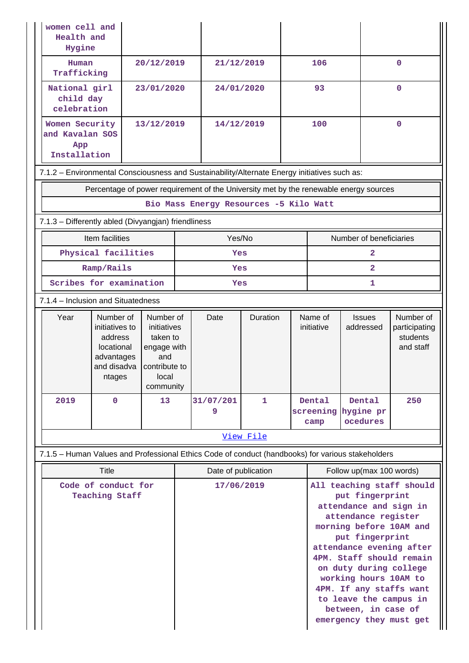| women cell and<br>Health and<br>Hygine                                                            |                                                                                             |                                                                                                   |                     |                                        |           |                          |                                                                                                                                                                                                                                                                                                                                                               |                                           |                                                     |
|---------------------------------------------------------------------------------------------------|---------------------------------------------------------------------------------------------|---------------------------------------------------------------------------------------------------|---------------------|----------------------------------------|-----------|--------------------------|---------------------------------------------------------------------------------------------------------------------------------------------------------------------------------------------------------------------------------------------------------------------------------------------------------------------------------------------------------------|-------------------------------------------|-----------------------------------------------------|
| Human<br>Trafficking                                                                              |                                                                                             | 20/12/2019                                                                                        |                     | 21/12/2019                             |           |                          | 106                                                                                                                                                                                                                                                                                                                                                           |                                           | $\mathbf{0}$                                        |
|                                                                                                   | National girl<br>23/01/2020<br>child day<br>celebration                                     |                                                                                                   |                     | 24/01/2020                             |           | 93                       |                                                                                                                                                                                                                                                                                                                                                               |                                           | $\mathbf{O}$                                        |
| App                                                                                               | 13/12/2019<br>Women Security<br>and Kavalan SOS<br>Installation                             |                                                                                                   |                     | 100<br>14/12/2019                      |           |                          | $\mathbf{O}$                                                                                                                                                                                                                                                                                                                                                  |                                           |                                                     |
| 7.1.2 - Environmental Consciousness and Sustainability/Alternate Energy initiatives such as:      |                                                                                             |                                                                                                   |                     |                                        |           |                          |                                                                                                                                                                                                                                                                                                                                                               |                                           |                                                     |
|                                                                                                   | Percentage of power requirement of the University met by the renewable energy sources       |                                                                                                   |                     |                                        |           |                          |                                                                                                                                                                                                                                                                                                                                                               |                                           |                                                     |
|                                                                                                   |                                                                                             |                                                                                                   |                     | Bio Mass Energy Resources -5 Kilo Watt |           |                          |                                                                                                                                                                                                                                                                                                                                                               |                                           |                                                     |
| 7.1.3 - Differently abled (Divyangjan) friendliness                                               |                                                                                             |                                                                                                   |                     |                                        |           |                          |                                                                                                                                                                                                                                                                                                                                                               |                                           |                                                     |
|                                                                                                   | Item facilities                                                                             |                                                                                                   |                     | Yes/No                                 |           |                          | Number of beneficiaries                                                                                                                                                                                                                                                                                                                                       |                                           |                                                     |
|                                                                                                   | Physical facilities                                                                         |                                                                                                   | Yes                 |                                        |           |                          | $\mathbf{z}$                                                                                                                                                                                                                                                                                                                                                  |                                           |                                                     |
|                                                                                                   | Ramp/Rails                                                                                  |                                                                                                   | Yes                 |                                        |           |                          | $\overline{2}$                                                                                                                                                                                                                                                                                                                                                |                                           |                                                     |
|                                                                                                   | Scribes for examination                                                                     |                                                                                                   |                     | Yes                                    |           |                          | 1                                                                                                                                                                                                                                                                                                                                                             |                                           |                                                     |
| 7.1.4 - Inclusion and Situatedness                                                                |                                                                                             |                                                                                                   |                     |                                        |           |                          |                                                                                                                                                                                                                                                                                                                                                               |                                           |                                                     |
| Year                                                                                              | Number of<br>initiatives to<br>address<br>locational<br>advantages<br>and disadva<br>ntages | Number of<br>initiatives<br>taken to<br>engage with<br>and<br>contribute to<br>local<br>community |                     | Date                                   | Duration  |                          | Name of<br>initiative                                                                                                                                                                                                                                                                                                                                         | <b>Issues</b><br>addressed                | Number of<br>participating<br>students<br>and staff |
| 2019                                                                                              | 0                                                                                           | 13                                                                                                |                     | 31/07/201<br>9                         | 1         |                          | Dental<br>camp                                                                                                                                                                                                                                                                                                                                                | Dental<br>screening hygine pr<br>ocedures | 250                                                 |
|                                                                                                   |                                                                                             |                                                                                                   |                     |                                        | View File |                          |                                                                                                                                                                                                                                                                                                                                                               |                                           |                                                     |
| 7.1.5 - Human Values and Professional Ethics Code of conduct (handbooks) for various stakeholders |                                                                                             |                                                                                                   |                     |                                        |           |                          |                                                                                                                                                                                                                                                                                                                                                               |                                           |                                                     |
| Title                                                                                             |                                                                                             |                                                                                                   | Date of publication |                                        |           | Follow up(max 100 words) |                                                                                                                                                                                                                                                                                                                                                               |                                           |                                                     |
| Code of conduct for<br><b>Teaching Staff</b>                                                      |                                                                                             |                                                                                                   |                     | 17/06/2019                             |           |                          | All teaching staff should<br>put fingerprint<br>attendance and sign in<br>attendance register<br>morning before 10AM and<br>put fingerprint<br>attendance evening after<br>4PM. Staff should remain<br>on duty during college<br>working hours 10AM to<br>4PM. If any staffs want<br>to leave the campus in<br>between, in case of<br>emergency they must get |                                           |                                                     |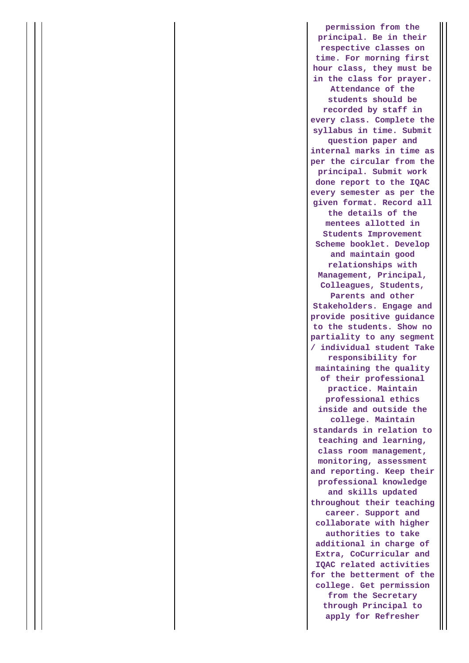**permission from the principal. Be in their respective classes on time. For morning first hour class, they must be in the class for prayer. Attendance of the students should be recorded by staff in every class. Complete the syllabus in time. Submit question paper and internal marks in time as per the circular from the principal. Submit work done report to the IQAC every semester as per the given format. Record all the details of the mentees allotted in Students Improvement Scheme booklet. Develop and maintain good relationships with Management, Principal, Colleagues, Students, Parents and other Stakeholders. Engage and provide positive guidance to the students. Show no partiality to any segment / individual student Take responsibility for maintaining the quality of their professional practice. Maintain professional ethics inside and outside the college. Maintain standards in relation to teaching and learning, class room management, monitoring, assessment and reporting. Keep their professional knowledge and skills updated throughout their teaching career. Support and collaborate with higher authorities to take additional in charge of Extra, CoCurricular and IQAC related activities for the betterment of the college. Get permission from the Secretary through Principal to apply for Refresher**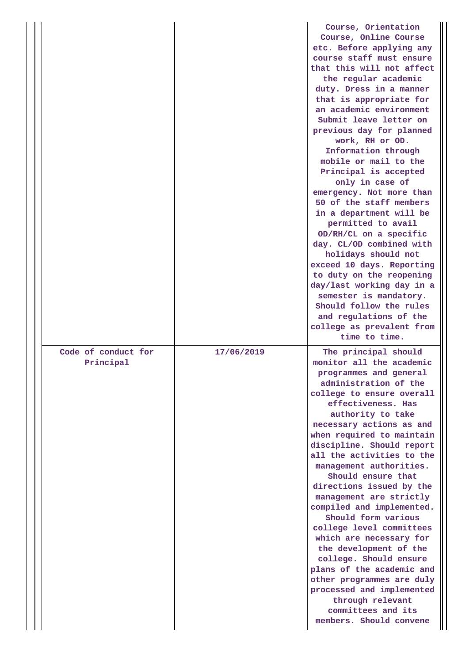|                                  |            | Course, Orientation<br>Course, Online Course<br>etc. Before applying any<br>course staff must ensure<br>that this will not affect<br>the regular academic<br>duty. Dress in a manner<br>that is appropriate for<br>an academic environment<br>Submit leave letter on<br>previous day for planned<br>work, RH or OD.<br>Information through<br>mobile or mail to the<br>Principal is accepted<br>only in case of<br>emergency. Not more than<br>50 of the staff members<br>in a department will be<br>permitted to avail<br>OD/RH/CL on a specific<br>day. CL/OD combined with<br>holidays should not<br>exceed 10 days. Reporting<br>to duty on the reopening<br>day/last working day in a<br>semester is mandatory.<br>Should follow the rules<br>and regulations of the<br>college as prevalent from<br>time to time. |
|----------------------------------|------------|-------------------------------------------------------------------------------------------------------------------------------------------------------------------------------------------------------------------------------------------------------------------------------------------------------------------------------------------------------------------------------------------------------------------------------------------------------------------------------------------------------------------------------------------------------------------------------------------------------------------------------------------------------------------------------------------------------------------------------------------------------------------------------------------------------------------------|
| Code of conduct for<br>Principal | 17/06/2019 | The principal should<br>monitor all the academic<br>programmes and general<br>administration of the<br>college to ensure overall<br>effectiveness. Has<br>authority to take<br>necessary actions as and<br>when required to maintain<br>discipline. Should report<br>all the activities to the<br>management authorities.<br>Should ensure that<br>directions issued by the<br>management are strictly<br>compiled and implemented.<br>Should form various<br>college level committees<br>which are necessary for<br>the development of the<br>college. Should ensure<br>plans of the academic and<br>other programmes are duly<br>processed and implemented<br>through relevant<br>committees and its<br>members. Should convene                                                                                       |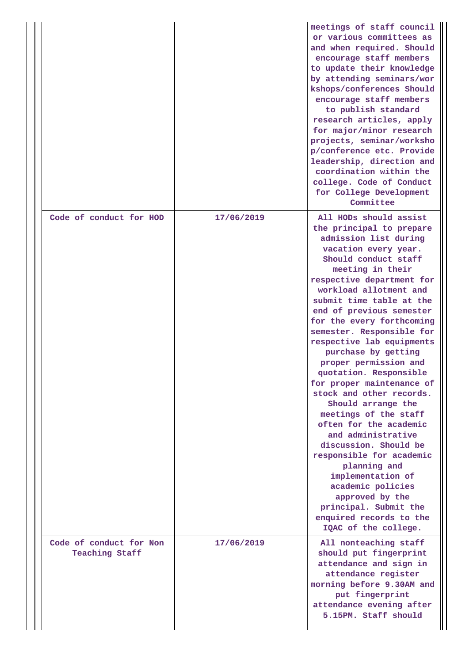|                                           |            | meetings of staff council<br>or various committees as<br>and when required. Should<br>encourage staff members<br>to update their knowledge<br>by attending seminars/wor<br>kshops/conferences Should<br>encourage staff members<br>to publish standard<br>research articles, apply<br>for major/minor research<br>projects, seminar/worksho<br>p/conference etc. Provide<br>leadership, direction and<br>coordination within the<br>college. Code of Conduct<br>for College Development<br>Committee                                                                                                                                                                                                                                                                                                  |
|-------------------------------------------|------------|-------------------------------------------------------------------------------------------------------------------------------------------------------------------------------------------------------------------------------------------------------------------------------------------------------------------------------------------------------------------------------------------------------------------------------------------------------------------------------------------------------------------------------------------------------------------------------------------------------------------------------------------------------------------------------------------------------------------------------------------------------------------------------------------------------|
| Code of conduct for HOD                   | 17/06/2019 | All HODs should assist<br>the principal to prepare<br>admission list during<br>vacation every year.<br>Should conduct staff<br>meeting in their<br>respective department for<br>workload allotment and<br>submit time table at the<br>end of previous semester<br>for the every forthcoming<br>semester. Responsible for<br>respective lab equipments<br>purchase by getting<br>proper permission and<br>quotation. Responsible<br>for proper maintenance of<br>stock and other records.<br>Should arrange the<br>meetings of the staff<br>often for the academic<br>and administrative<br>discussion. Should be<br>responsible for academic<br>planning and<br>implementation of<br>academic policies<br>approved by the<br>principal. Submit the<br>enquired records to the<br>IQAC of the college. |
| Code of conduct for Non<br>Teaching Staff | 17/06/2019 | All nonteaching staff<br>should put fingerprint<br>attendance and sign in<br>attendance register<br>morning before 9.30AM and<br>put fingerprint<br>attendance evening after<br>5.15PM. Staff should                                                                                                                                                                                                                                                                                                                                                                                                                                                                                                                                                                                                  |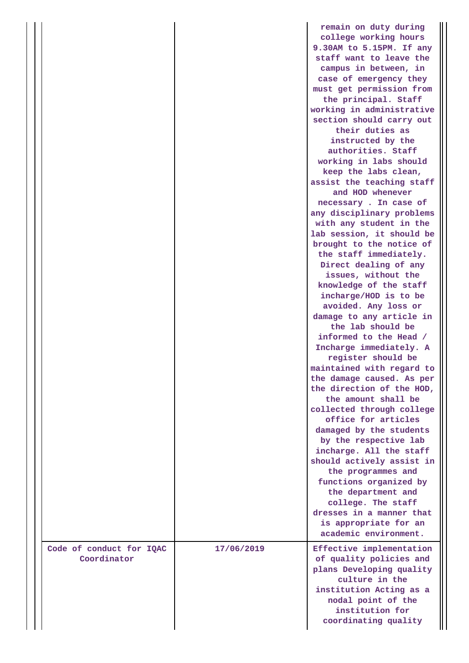|                                         |            | remain on duty during<br>college working hours<br>9.30AM to 5.15PM. If any<br>staff want to leave the<br>campus in between, in<br>case of emergency they<br>must get permission from<br>the principal. Staff<br>working in administrative<br>section should carry out<br>their duties as<br>instructed by the<br>authorities. Staff<br>working in labs should<br>keep the labs clean,<br>assist the teaching staff<br>and HOD whenever<br>necessary. In case of<br>any disciplinary problems<br>with any student in the<br>lab session, it should be<br>brought to the notice of<br>the staff immediately.<br>Direct dealing of any<br>issues, without the<br>knowledge of the staff<br>incharge/HOD is to be<br>avoided. Any loss or<br>damage to any article in<br>the lab should be<br>informed to the Head /<br>Incharge immediately. A<br>register should be<br>maintained with regard to<br>the damage caused. As per<br>the direction of the HOD,<br>the amount shall be<br>collected through college<br>office for articles<br>damaged by the students<br>by the respective lab<br>incharge. All the staff<br>should actively assist in<br>the programmes and<br>functions organized by<br>the department and<br>college. The staff<br>dresses in a manner that<br>is appropriate for an<br>academic environment. |
|-----------------------------------------|------------|---------------------------------------------------------------------------------------------------------------------------------------------------------------------------------------------------------------------------------------------------------------------------------------------------------------------------------------------------------------------------------------------------------------------------------------------------------------------------------------------------------------------------------------------------------------------------------------------------------------------------------------------------------------------------------------------------------------------------------------------------------------------------------------------------------------------------------------------------------------------------------------------------------------------------------------------------------------------------------------------------------------------------------------------------------------------------------------------------------------------------------------------------------------------------------------------------------------------------------------------------------------------------------------------------------------------------|
| Code of conduct for IQAC<br>Coordinator | 17/06/2019 | Effective implementation<br>of quality policies and<br>plans Developing quality<br>culture in the<br>institution Acting as a<br>nodal point of the<br>institution for<br>coordinating quality                                                                                                                                                                                                                                                                                                                                                                                                                                                                                                                                                                                                                                                                                                                                                                                                                                                                                                                                                                                                                                                                                                                             |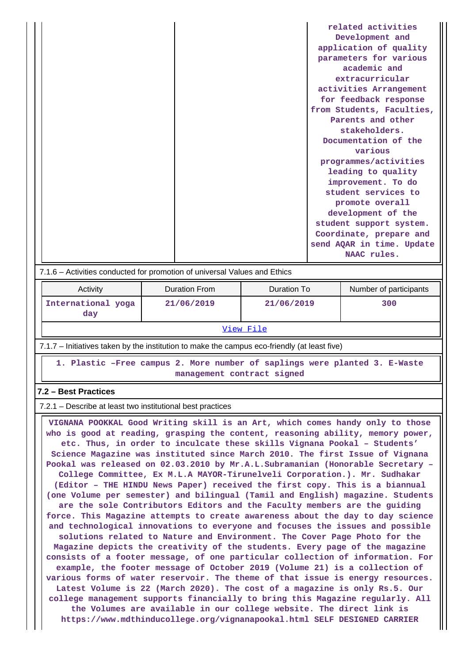|  | related activities        |
|--|---------------------------|
|  | Development and           |
|  | application of quality    |
|  | parameters for various    |
|  | academic and              |
|  | extracurricular           |
|  | activities Arrangement    |
|  | for feedback response     |
|  | from Students, Faculties, |
|  | Parents and other         |
|  | stakeholders.             |
|  | Documentation of the      |
|  | various                   |
|  | programmes/activities     |
|  | leading to quality        |
|  | improvement. To do        |
|  | student services to       |
|  | promote overall           |
|  | development of the        |
|  | student support system.   |
|  | Coordinate, prepare and   |
|  | send AQAR in time. Update |
|  | NAAC rules.               |

#### 7.1.6 – Activities conducted for promotion of universal Values and Ethics

| Activity                  | Duration From | Duration To | Number of participants |  |
|---------------------------|---------------|-------------|------------------------|--|
| International yoga<br>day | 21/06/2019    | 21/06/2019  | 300                    |  |
| View File                 |               |             |                        |  |

7.1.7 – Initiatives taken by the institution to make the campus eco-friendly (at least five)

 **1. Plastic –Free campus 2. More number of saplings were planted 3. E-Waste management contract signed**

#### **7.2 – Best Practices**

7.2.1 – Describe at least two institutional best practices

 **VIGNANA POOKKAL Good Writing skill is an Art, which comes handy only to those who is good at reading, grasping the content, reasoning ability, memory power, etc. Thus, in order to inculcate these skills Vignana Pookal – Students' Science Magazine was instituted since March 2010. The first Issue of Vignana Pookal was released on 02.03.2010 by Mr.A.L.Subramanian (Honorable Secretary – College Committee, Ex M.L.A MAYOR-Tirunelveli Corporation.). Mr. Sudhakar (Editor – THE HINDU News Paper) received the first copy. This is a biannual (one Volume per semester) and bilingual (Tamil and English) magazine. Students are the sole Contributors Editors and the Faculty members are the guiding force. This Magazine attempts to create awareness about the day to day science and technological innovations to everyone and focuses the issues and possible solutions related to Nature and Environment. The Cover Page Photo for the Magazine depicts the creativity of the students. Every page of the magazine consists of a footer message, of one particular collection of information. For example, the footer message of October 2019 (Volume 21) is a collection of various forms of water reservoir. The theme of that issue is energy resources. Latest Volume is 22 (March 2020). The cost of a magazine is only Rs.5. Our college management supports financially to bring this Magazine regularly. All the Volumes are available in our college website. The direct link is https://www.mdthinducollege.org/vignanapookal.html SELF DESIGNED CARRIER**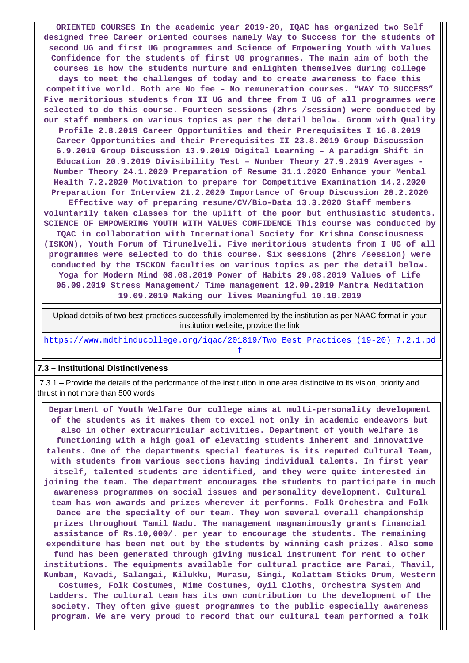**ORIENTED COURSES In the academic year 2019-20, IQAC has organized two Self designed free Career oriented courses namely Way to Success for the students of second UG and first UG programmes and Science of Empowering Youth with Values Confidence for the students of first UG programmes. The main aim of both the courses is how the students nurture and enlighten themselves during college days to meet the challenges of today and to create awareness to face this competitive world. Both are No fee – No remuneration courses. "WAY TO SUCCESS" Five meritorious students from II UG and three from I UG of all programmes were selected to do this course. Fourteen sessions (2hrs /session) were conducted by our staff members on various topics as per the detail below. Groom with Quality Profile 2.8.2019 Career Opportunities and their Prerequisites I 16.8.2019 Career Opportunities and their Prerequisites II 23.8.2019 Group Discussion 6.9.2019 Group Discussion 13.9.2019 Digital Learning – A paradigm Shift in Education 20.9.2019 Divisibility Test – Number Theory 27.9.2019 Averages - Number Theory 24.1.2020 Preparation of Resume 31.1.2020 Enhance your Mental Health 7.2.2020 Motivation to prepare for Competitive Examination 14.2.2020 Preparation for Interview 21.2.2020 Importance of Group Discussion 28.2.2020 Effective way of preparing resume/CV/Bio-Data 13.3.2020 Staff members voluntarily taken classes for the uplift of the poor but enthusiastic students. SCIENCE OF EMPOWERING YOUTH WITH VALUES CONFIDENCE This course was conducted by IQAC in collaboration with International Society for Krishna Consciousness (ISKON), Youth Forum of Tirunelveli. Five meritorious students from I UG of all programmes were selected to do this course. Six sessions (2hrs /session) were conducted by the ISCKON faculties on various topics as per the detail below.**

**Yoga for Modern Mind 08.08.2019 Power of Habits 29.08.2019 Values of Life 05.09.2019 Stress Management/ Time management 12.09.2019 Mantra Meditation 19.09.2019 Making our lives Meaningful 10.10.2019**

 Upload details of two best practices successfully implemented by the institution as per NAAC format in your institution website, provide the link

https://www.mdthinducollege.org/igac/201819/Two\_Best\_Practices\_(19-20)\_7.2.1.pd [f](https://www.mdthinducollege.org/iqac/201819/Two_Best_Practices_(19-20)_7.2.1.pdf)

#### **7.3 – Institutional Distinctiveness**

 7.3.1 – Provide the details of the performance of the institution in one area distinctive to its vision, priority and thrust in not more than 500 words

 **Department of Youth Welfare Our college aims at multi-personality development of the students as it makes them to excel not only in academic endeavors but also in other extracurricular activities. Department of youth welfare is functioning with a high goal of elevating students inherent and innovative talents. One of the departments special features is its reputed Cultural Team, with students from various sections having individual talents. In first year itself, talented students are identified, and they were quite interested in joining the team. The department encourages the students to participate in much awareness programmes on social issues and personality development. Cultural team has won awards and prizes wherever it performs. Folk Orchestra and Folk Dance are the specialty of our team. They won several overall championship prizes throughout Tamil Nadu. The management magnanimously grants financial assistance of Rs.10,000/. per year to encourage the students. The remaining expenditure has been met out by the students by winning cash prizes. Also some fund has been generated through giving musical instrument for rent to other institutions. The equipments available for cultural practice are Parai, Thavil, Kumbam, Kavadi, Salangai, Kilukku, Murasu, Singi, Kolattam Sticks Drum, Western Costumes, Folk Costumes, Mime Costumes, Oyil Cloths, Orchestra System And Ladders. The cultural team has its own contribution to the development of the society. They often give guest programmes to the public especially awareness program. We are very proud to record that our cultural team performed a folk**